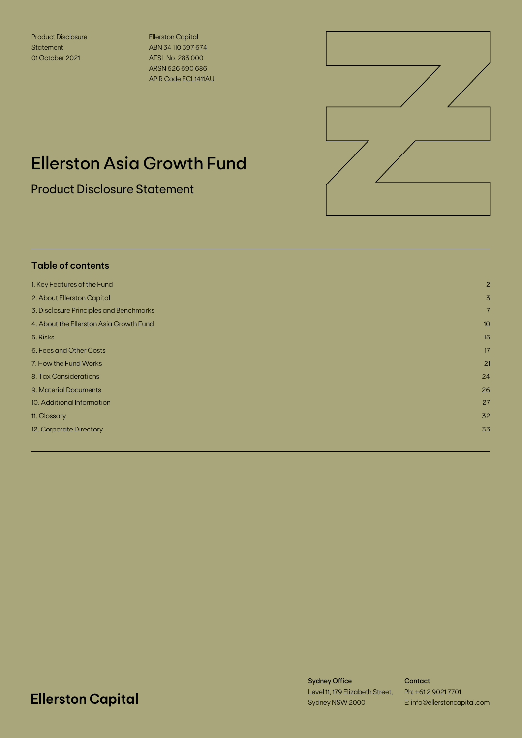Product Disclosure **Statement** 01 October 2021

Ellerston Capital ABN 34 110 397 674 AFSL No. 283 000 ARSN 626 690 686 APIR Code ECL1411AU



# Ellerston Asia Growth Fund

Product Disclosure Statement

## **Table of contents** 1. Key Features of the Fund 2 2. About Ellerston Capital 3 3. Disclosure Principles and Benchmarks 7 4. About the Ellerston Asia Growth Fund 10 5. Risks 15 6. Fees and Other Costs 17 7. How the Fund Works 21 8. Tax Considerations 24 9. Material Documents 26 10. Additional Information 27 11. Glossary 32 September 2014 and 2014 and 32 September 2014 and 32 September 2014 and 32 September 2014 and 12. Corporate Directory 33

## **Ellerston Capital**

Sydney Office Level 11, 179 Elizabeth Street, Sydney NSW 2000

**Contact** Ph: +61 2 9021 7701 E: info@ellerstoncapital.com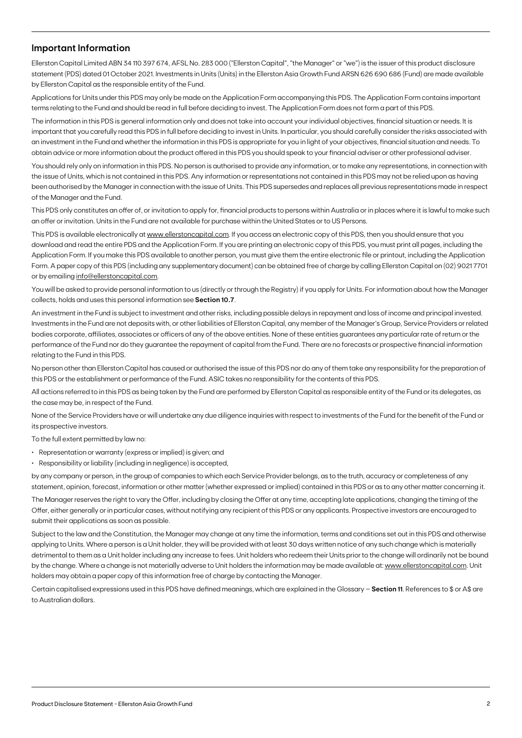### **Important Information**

Ellerston Capital Limited ABN 34 110 397 674, AFSL No. 283 000 ("Ellerston Capital", "the Manager" or "we") is the issuer of this product disclosure statement (PDS) dated 01 October 2021. Investments in Units (Units) in the Ellerston Asia Growth Fund ARSN 626 690 686 (Fund) are made available by Ellerston Capital as the responsible entity of the Fund.

Applications for Units under this PDS may only be made on the Application Form accompanying this PDS. The Application Form contains important terms relating to the Fund and should be read in full before deciding to invest. The Application Form does not form a part of this PDS.

The information in this PDS is general information only and does not take into account your individual objectives, financial situation or needs. It is important that you carefully read this PDS in full before deciding to invest in Units. In particular, you should carefully consider the risks associated with an investment in the Fund and whether the information in this PDS is appropriate for you in light of your objectives, financial situation and needs. To obtain advice or more information about the product offered in this PDS you should speak to your financial adviser or other professional adviser.

You should rely only on information in this PDS. No person is authorised to provide any information, or to make any representations, in connection with the issue of Units, which is not contained in this PDS. Any information or representations not contained in this PDS may not be relied upon as having been authorised by the Manager in connection with the issue of Units. This PDS supersedes and replaces all previous representations made in respect of the Manager and the Fund.

This PDS only constitutes an offer of, or invitation to apply for, financial products to persons within Australia or in places where it is lawful to make such an offer or invitation. Units in the Fund are not available for purchase within the United States or to US Persons.

This PDS is available electronically at [www.ellerstoncapital.com.](http://www.ellerstoncapital.com) If you access an electronic copy of this PDS, then you should ensure that you download and read the entire PDS and the Application Form. If you are printing an electronic copy of this PDS, you must print all pages, including the Application Form. If you make this PDS available to another person, you must give them the entire electronic file or printout, including the Application Form. A paper copy of this PDS (including any supplementary document) can be obtained free of charge by calling Ellerston Capital on (02) 9021 7701 or by emailing [info@ellerstoncapital.com](mailto:info%40ellerstoncapital.com?subject=).

You will be asked to provide personal information to us (directly or through the Registry) if you apply for Units. For information about how the Manager collects, holds and uses this personal information see **Section 10.7**.

An investment in the Fund is subject to investment and other risks, including possible delays in repayment and loss of income and principal invested. Investments in the Fund are not deposits with, or other liabilities of Ellerston Capital, any member of the Manager's Group, Service Providers or related bodies corporate, affiliates, associates or officers of any of the above entities. None of these entities guarantees any particular rate of return or the performance of the Fund nor do they guarantee the repayment of capital from the Fund. There are no forecasts or prospective financial information relating to the Fund in this PDS.

No person other than Ellerston Capital has caused or authorised the issue of this PDS nor do any of them take any responsibility for the preparation of this PDS or the establishment or performance of the Fund. ASIC takes no responsibility for the contents of this PDS.

All actions referred to in this PDS as being taken by the Fund are performed by Ellerston Capital as responsible entity of the Fund or its delegates, as the case may be, in respect of the Fund.

None of the Service Providers have or will undertake any due diligence inquiries with respect to investments of the Fund for the benefit of the Fund or its prospective investors.

To the full extent permitted by law no:

- Representation or warranty (express or implied) is given; and
- Responsibility or liability (including in negligence) is accepted,

by any company or person, in the group of companies to which each Service Provider belongs, as to the truth, accuracy or completeness of any statement, opinion, forecast, information or other matter (whether expressed or implied) contained in this PDS or as to any other matter concerning it.

The Manager reserves the right to vary the Offer, including by closing the Offer at any time, accepting late applications, changing the timing of the Offer, either generally or in particular cases, without notifying any recipient of this PDS or any applicants. Prospective investors are encouraged to submit their applications as soon as possible.

Subject to the law and the Constitution, the Manager may change at any time the information, terms and conditions set out in this PDS and otherwise applying to Units. Where a person is a Unit holder, they will be provided with at least 30 days written notice of any such change which is materially detrimental to them as a Unit holder including any increase to fees. Unit holders who redeem their Units prior to the change will ordinarily not be bound by the change. Where a change is not materially adverse to Unit holders the information may be made available at: [www.ellerstoncapital.com](http://www.ellerstoncapital.com). Unit holders may obtain a paper copy of this information free of charge by contacting the Manager.

Certain capitalised expressions used in this PDS have defined meanings, which are explained in the Glossary – **Section 11**. References to \$ or A\$ are to Australian dollars.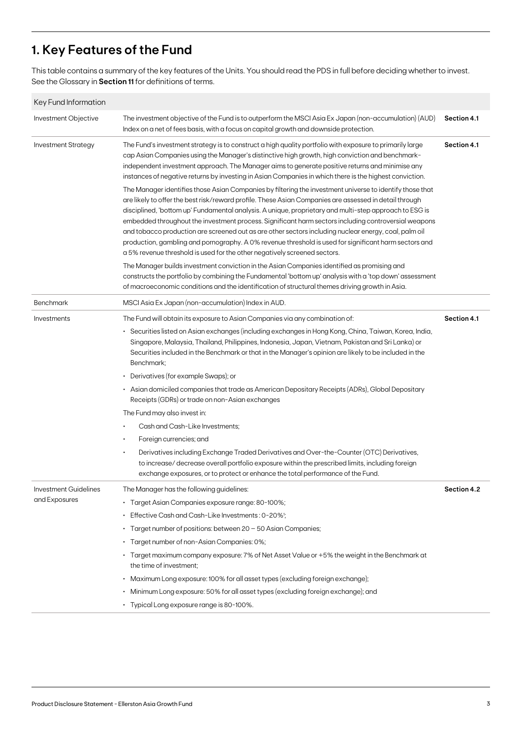## **1. Key Features of the Fund**

This table contains a summary of the key features of the Units. You should read the PDS in full before deciding whether to invest. See the Glossary in **Section 11** for definitions of terms.

| Key Fund Information       |                                                                                                                                                                                                                                                                                                                                                                                                                                                                                                                                                                                                                                                                                                                                     |             |
|----------------------------|-------------------------------------------------------------------------------------------------------------------------------------------------------------------------------------------------------------------------------------------------------------------------------------------------------------------------------------------------------------------------------------------------------------------------------------------------------------------------------------------------------------------------------------------------------------------------------------------------------------------------------------------------------------------------------------------------------------------------------------|-------------|
| Investment Objective       | The investment objective of the Fund is to outperform the MSCI Asia Ex Japan (non-accumulation) (AUD)<br>Index on a net of fees basis, with a focus on capital growth and downside protection.                                                                                                                                                                                                                                                                                                                                                                                                                                                                                                                                      | Section 4.1 |
| <b>Investment Strategy</b> | The Fund's investment strategy is to construct a high quality portfolio with exposure to primarily large<br>cap Asian Companies using the Manager's distinctive high growth, high conviction and benchmark-<br>independent investment approach. The Manager aims to generate positive returns and minimise any<br>instances of negative returns by investing in Asian Companies in which there is the highest conviction.                                                                                                                                                                                                                                                                                                           | Section 4.1 |
|                            | The Manager identifies those Asian Companies by filtering the investment universe to identify those that<br>are likely to offer the best risk/reward profile. These Asian Companies are assessed in detail through<br>disciplined, 'bottom up' Fundamental analysis. A unique, proprietary and multi-step approach to ESG is<br>embedded throughout the investment process. Significant harm sectors including controversial weapons<br>and tobacco production are screened out as are other sectors including nuclear energy, coal, palm oil<br>production, gambling and pornography. A 0% revenue threshold is used for significant harm sectors and<br>a 5% revenue threshold is used for the other negatively screened sectors. |             |
|                            | The Manager builds investment conviction in the Asian Companies identified as promising and<br>constructs the portfolio by combining the Fundamental 'bottom up' analysis with a 'top down' assessment<br>of macroeconomic conditions and the identification of structural themes driving growth in Asia.                                                                                                                                                                                                                                                                                                                                                                                                                           |             |
| <b>Benchmark</b>           | MSCI Asia Ex Japan (non-accumulation) Index in AUD.                                                                                                                                                                                                                                                                                                                                                                                                                                                                                                                                                                                                                                                                                 |             |
| Investments                | The Fund will obtain its exposure to Asian Companies via any combination of:                                                                                                                                                                                                                                                                                                                                                                                                                                                                                                                                                                                                                                                        | Section 4.1 |
|                            | · Securities listed on Asian exchanges (including exchanges in Hong Kong, China, Taiwan, Korea, India,<br>Singapore, Malaysia, Thailand, Philippines, Indonesia, Japan, Vietnam, Pakistan and Sri Lanka) or<br>Securities included in the Benchmark or that in the Manager's opinion are likely to be included in the<br>Benchmark;                                                                                                                                                                                                                                                                                                                                                                                                 |             |
|                            | • Derivatives (for example Swaps); or                                                                                                                                                                                                                                                                                                                                                                                                                                                                                                                                                                                                                                                                                               |             |
|                            | Asian domiciled companies that trade as American Depositary Receipts (ADRs), Global Depositary<br>٠<br>Receipts (GDRs) or trade on non-Asian exchanges                                                                                                                                                                                                                                                                                                                                                                                                                                                                                                                                                                              |             |
|                            | The Fund may also invest in:                                                                                                                                                                                                                                                                                                                                                                                                                                                                                                                                                                                                                                                                                                        |             |
|                            | Cash and Cash-Like Investments;<br>$\bullet$                                                                                                                                                                                                                                                                                                                                                                                                                                                                                                                                                                                                                                                                                        |             |
|                            | Foreign currencies; and<br>$\bullet$                                                                                                                                                                                                                                                                                                                                                                                                                                                                                                                                                                                                                                                                                                |             |
|                            | Derivatives including Exchange Traded Derivatives and Over-the-Counter (OTC) Derivatives,<br>to increase/ decrease overall portfolio exposure within the prescribed limits, including foreign<br>exchange exposures, or to protect or enhance the total performance of the Fund.                                                                                                                                                                                                                                                                                                                                                                                                                                                    |             |
| Investment Guidelines      | The Manager has the following guidelines:                                                                                                                                                                                                                                                                                                                                                                                                                                                                                                                                                                                                                                                                                           | Section 4.2 |
| and Exposures              | · Target Asian Companies exposure range: 80-100%;                                                                                                                                                                                                                                                                                                                                                                                                                                                                                                                                                                                                                                                                                   |             |
|                            | • Effective Cash and Cash-Like Investments: 0-20% <sup>1</sup> ;                                                                                                                                                                                                                                                                                                                                                                                                                                                                                                                                                                                                                                                                    |             |
|                            | $\cdot$ Target number of positions: between 20 – 50 Asian Companies;                                                                                                                                                                                                                                                                                                                                                                                                                                                                                                                                                                                                                                                                |             |
|                            | · Target number of non-Asian Companies: 0%;                                                                                                                                                                                                                                                                                                                                                                                                                                                                                                                                                                                                                                                                                         |             |
|                            | • Target maximum company exposure: 7% of Net Asset Value or +5% the weight in the Benchmark at<br>the time of investment;                                                                                                                                                                                                                                                                                                                                                                                                                                                                                                                                                                                                           |             |
|                            | • Maximum Long exposure: 100% for all asset types (excluding foreign exchange);                                                                                                                                                                                                                                                                                                                                                                                                                                                                                                                                                                                                                                                     |             |
|                            | • Minimum Long exposure: 50% for all asset types (excluding foreign exchange); and                                                                                                                                                                                                                                                                                                                                                                                                                                                                                                                                                                                                                                                  |             |
|                            | • Typical Long exposure range is 80-100%.                                                                                                                                                                                                                                                                                                                                                                                                                                                                                                                                                                                                                                                                                           |             |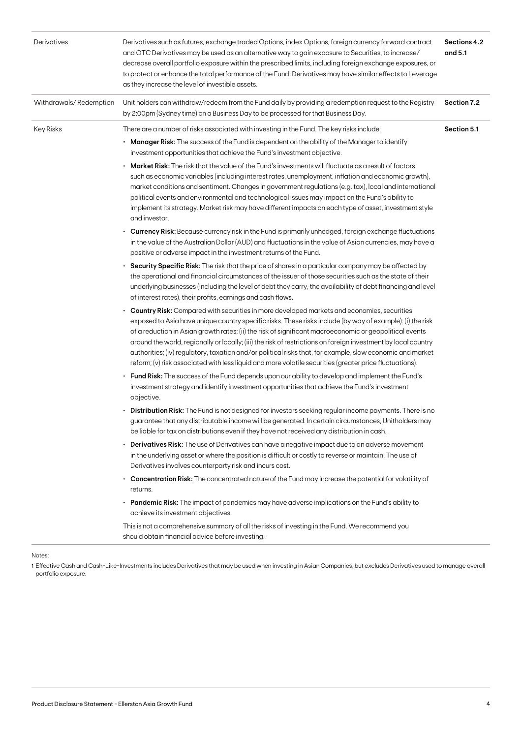| Derivatives            | Derivatives such as futures, exchange traded Options, index Options, foreign currency forward contract<br>and OTC Derivatives may be used as an alternative way to gain exposure to Securities, to increase/<br>decrease overall portfolio exposure within the prescribed limits, including foreign exchange exposures, or<br>to protect or enhance the total performance of the Fund. Derivatives may have similar effects to Leverage<br>as they increase the level of investible assets.                                                                                                                                                                    | Sections 4.2<br>and 5.1 |
|------------------------|----------------------------------------------------------------------------------------------------------------------------------------------------------------------------------------------------------------------------------------------------------------------------------------------------------------------------------------------------------------------------------------------------------------------------------------------------------------------------------------------------------------------------------------------------------------------------------------------------------------------------------------------------------------|-------------------------|
| Withdrawals/Redemption | Unit holders can withdraw/redeem from the Fund daily by providing a redemption request to the Registry<br>by 2:00pm (Sydney time) on a Business Day to be processed for that Business Day.                                                                                                                                                                                                                                                                                                                                                                                                                                                                     | Section 7.2             |
| Key Risks              | There are a number of risks associated with investing in the Fund. The key risks include:<br>• Manager Risk: The success of the Fund is dependent on the ability of the Manager to identify<br>investment opportunities that achieve the Fund's investment objective.                                                                                                                                                                                                                                                                                                                                                                                          | Section 5.1             |
|                        | <b>Market Risk:</b> The risk that the value of the Fund's investments will fluctuate as a result of factors<br>such as economic variables (including interest rates, unemployment, inflation and economic growth),<br>market conditions and sentiment. Changes in government regulations (e.g. tax), local and international<br>political events and environmental and technological issues may impact on the Fund's ability to<br>implement its strategy. Market risk may have different impacts on each type of asset, investment style<br>and investor.                                                                                                     |                         |
|                        | • Currency Risk: Because currency risk in the Fund is primarily unhedged, foreign exchange fluctuations<br>in the value of the Australian Dollar (AUD) and fluctuations in the value of Asian currencies, may have a<br>positive or adverse impact in the investment returns of the Fund.                                                                                                                                                                                                                                                                                                                                                                      |                         |
|                        | • Security Specific Risk: The risk that the price of shares in a particular company may be affected by<br>the operational and financial circumstances of the issuer of those securities such as the state of their<br>underlying businesses (including the level of debt they carry, the availability of debt financing and level<br>of interest rates), their profits, earnings and cash flows.                                                                                                                                                                                                                                                               |                         |
|                        | • Country Risk: Compared with securities in more developed markets and economies, securities<br>exposed to Asia have unique country specific risks. These risks include (by way of example): (i) the risk<br>of a reduction in Asian growth rates; (ii) the risk of significant macroeconomic or geopolitical events<br>around the world, regionally or locally; (iii) the risk of restrictions on foreign investment by local country<br>authorities; (iv) regulatory, taxation and/or political risks that, for example, slow economic and market<br>reform; (v) risk associated with less liquid and more volatile securities (greater price fluctuations). |                         |
|                        | <b>Fund Risk:</b> The success of the Fund depends upon our ability to develop and implement the Fund's<br>investment strategy and identify investment opportunities that achieve the Fund's investment<br>objective.                                                                                                                                                                                                                                                                                                                                                                                                                                           |                         |
|                        | • Distribution Risk: The Fund is not designed for investors seeking regular income payments. There is no<br>guarantee that any distributable income will be generated. In certain circumstances, Unitholders may<br>be liable for tax on distributions even if they have not received any distribution in cash.                                                                                                                                                                                                                                                                                                                                                |                         |
|                        | <b>Derivatives Risk:</b> The use of Derivatives can have a negative impact due to an adverse movement<br>in the underlying asset or where the position is difficult or costly to reverse or maintain. The use of<br>Derivatives involves counterparty risk and incurs cost.                                                                                                                                                                                                                                                                                                                                                                                    |                         |
|                        | • Concentration Risk: The concentrated nature of the Fund may increase the potential for volatility of<br>returns.                                                                                                                                                                                                                                                                                                                                                                                                                                                                                                                                             |                         |
|                        | <b>Pandemic Risk:</b> The impact of pandemics may have adverse implications on the Fund's ability to<br>achieve its investment objectives.                                                                                                                                                                                                                                                                                                                                                                                                                                                                                                                     |                         |
|                        | This is not a comprehensive summary of all the risks of investing in the Fund. We recommend you<br>should obtain financial advice before investing.                                                                                                                                                                                                                                                                                                                                                                                                                                                                                                            |                         |
|                        |                                                                                                                                                                                                                                                                                                                                                                                                                                                                                                                                                                                                                                                                |                         |

**Notes** 

1 Effective Cash and Cash-Like-Investments includes Derivatives that may be used when investing in Asian Companies, but excludes Derivatives used to manage overall portfolio exposure.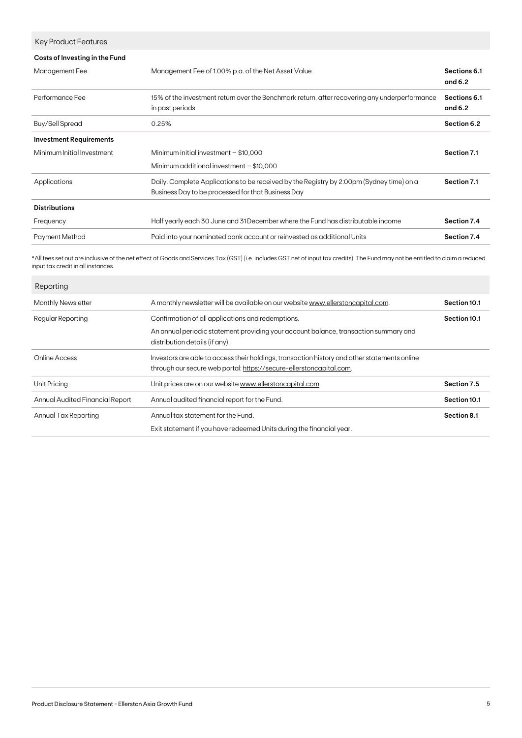| <b>Key Product Features</b>    |                                                                                                                                                |                           |
|--------------------------------|------------------------------------------------------------------------------------------------------------------------------------------------|---------------------------|
| Costs of Investing in the Fund |                                                                                                                                                |                           |
| Management Fee                 | Management Fee of 1.00% p.a. of the Net Asset Value                                                                                            | Sections 6.1<br>and $6.2$ |
| Performance Fee                | 15% of the investment return over the Benchmark return, after recovering any underperformance<br>in past periods                               | Sections 6.1<br>and $6.2$ |
| <b>Buy/Sell Spread</b>         | 0.25%                                                                                                                                          | Section 6.2               |
| <b>Investment Requirements</b> |                                                                                                                                                |                           |
| Minimum Initial Investment     | Minimum initial investment $-$ \$10,000                                                                                                        | Section 7.1               |
|                                | Minimum additional investment $-$ \$10,000                                                                                                     |                           |
| Applications                   | Daily. Complete Applications to be received by the Registry by 2:00pm (Sydney time) on a<br>Business Day to be processed for that Business Day | Section 7.1               |
| <b>Distributions</b>           |                                                                                                                                                |                           |
| Frequency                      | Half yearly each 30 June and 31 December where the Fund has distributable income                                                               | Section 7.4               |
| <b>Payment Method</b>          | Paid into your nominated bank account or reinvested as additional Units                                                                        | Section 7.4               |
|                                |                                                                                                                                                |                           |

\*All fees set out are inclusive of the net effect of Goods and Services Tax (GST) (i.e. includes GST net of input tax credits). The Fund may not be entitled to claim a reduced input tax credit in all instances.

| Reporting                       |                                                                                                                                                                             |              |
|---------------------------------|-----------------------------------------------------------------------------------------------------------------------------------------------------------------------------|--------------|
| <b>Monthly Newsletter</b>       | A monthly newsletter will be available on our website www.ellerstoncapital.com.                                                                                             | Section 10.1 |
| Regular Reporting               | Confirmation of all applications and redemptions.<br>An annual periodic statement providing your account balance, transaction summary and<br>distribution details (if any). | Section 10.1 |
| Online Access                   | Investors are able to access their holdings, transaction history and other statements online<br>through our secure web portal: https://secure-ellerstoncapital.com.         |              |
| <b>Unit Pricing</b>             | Unit prices are on our website www.ellerstoncapital.com.                                                                                                                    | Section 7.5  |
| Annual Audited Financial Report | Annual audited financial report for the Fund.                                                                                                                               | Section 10.1 |
| Annual Tax Reporting            | Annual tax statement for the Fund.<br>Exit statement if you have redeemed Units during the financial year.                                                                  | Section 8.1  |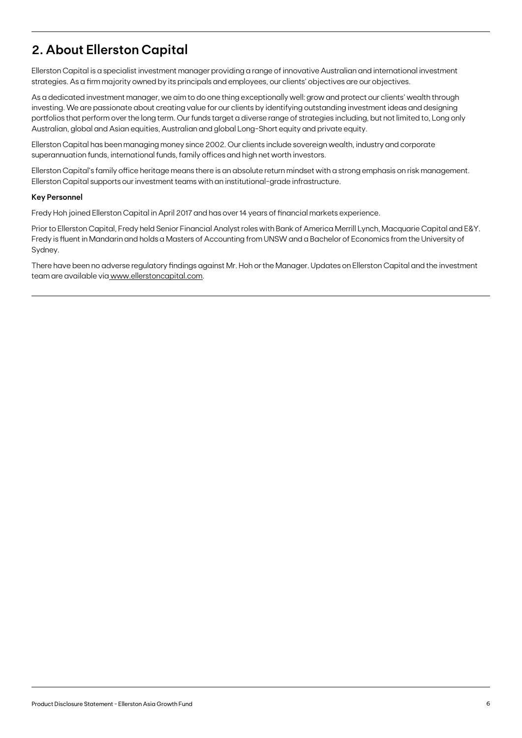## **2. About Ellerston Capital**

Ellerston Capital is a specialist investment manager providing a range of innovative Australian and international investment strategies. As a firm majority owned by its principals and employees, our clients' objectives are our objectives.

As a dedicated investment manager, we aim to do one thing exceptionally well: grow and protect our clients' wealth through investing. We are passionate about creating value for our clients by identifying outstanding investment ideas and designing portfolios that perform over the long term. Our funds target a diverse range of strategies including, but not limited to, Long only Australian, global and Asian equities, Australian and global Long-Short equity and private equity.

Ellerston Capital has been managing money since 2002. Our clients include sovereign wealth, industry and corporate superannuation funds, international funds, family offices and high net worth investors.

Ellerston Capital's family office heritage means there is an absolute return mindset with a strong emphasis on risk management. Ellerston Capital supports our investment teams with an institutional-grade infrastructure.

### **Key Personnel**

Fredy Hoh joined Ellerston Capital in April 2017 and has over 14 years of financial markets experience.

Prior to Ellerston Capital, Fredy held Senior Financial Analyst roles with Bank of America Merrill Lynch, Macquarie Capital and E&Y. Fredy is fluent in Mandarin and holds a Masters of Accounting from UNSW and a Bachelor of Economics from the University of Sydney.

There have been no adverse regulatory findings against Mr. Hoh or the Manager. Updates on Ellerston Capital and the investment team are available via www.ellerstoncapital.com.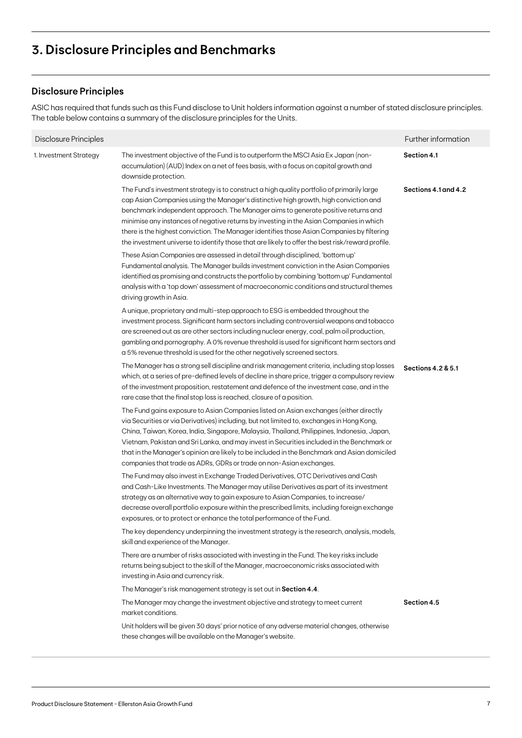## **3. Disclosure Principles and Benchmarks**

### **Disclosure Principles**

ASIC has required that funds such as this Fund disclose to Unit holders information against a number of stated disclosure principles. The table below contains a summary of the disclosure principles for the Units.

| Disclosure Principles  |                                                                                                                                                                                                                                                                                                                                                                                                                                                                                                                                                                      | Further information  |
|------------------------|----------------------------------------------------------------------------------------------------------------------------------------------------------------------------------------------------------------------------------------------------------------------------------------------------------------------------------------------------------------------------------------------------------------------------------------------------------------------------------------------------------------------------------------------------------------------|----------------------|
| 1. Investment Strategy | The investment objective of the Fund is to outperform the MSCI Asia Ex Japan (non-<br>accumulation) (AUD) Index on a net of fees basis, with a focus on capital growth and<br>downside protection.                                                                                                                                                                                                                                                                                                                                                                   | Section 4.1          |
|                        | The Fund's investment strategy is to construct a high quality portfolio of primarily large<br>cap Asian Companies using the Manager's distinctive high growth, high conviction and<br>benchmark independent approach. The Manager aims to generate positive returns and<br>minimise any instances of negative returns by investing in the Asian Companies in which<br>there is the highest conviction. The Manager identifies those Asian Companies by filtering<br>the investment universe to identify those that are likely to offer the best risk/reward profile. | Sections 4.1 and 4.2 |
|                        | These Asian Companies are assessed in detail through disciplined, 'bottom up'<br>Fundamental analysis. The Manager builds investment conviction in the Asian Companies<br>identified as promising and constructs the portfolio by combining 'bottom up' Fundamental<br>analysis with a 'top down' assessment of macroeconomic conditions and structural themes<br>driving growth in Asia.                                                                                                                                                                            |                      |
|                        | A unique, proprietary and multi-step approach to ESG is embedded throughout the<br>investment process. Significant harm sectors including controversial weapons and tobacco<br>are screened out as are other sectors including nuclear energy, coal, palm oil production,<br>gambling and pornography. A 0% revenue threshold is used for significant harm sectors and<br>a 5% revenue threshold is used for the other negatively screened sectors.                                                                                                                  |                      |
|                        | The Manager has a strong sell discipline and risk management criteria, including stop losses<br>which, at a series of pre-defined levels of decline in share price, trigger a compulsory review<br>of the investment proposition, restatement and defence of the investment case, and in the<br>rare case that the final stop loss is reached, closure of a position.                                                                                                                                                                                                | Sections 4.2 & 5.1   |
|                        | The Fund gains exposure to Asian Companies listed on Asian exchanges (either directly<br>via Securities or via Derivatives) including, but not limited to, exchanges in Hong Kong,<br>China, Taiwan, Korea, India, Singapore, Malaysia, Thailand, Philippines, Indonesia, Japan,<br>Vietnam, Pakistan and Sri Lanka, and may invest in Securities included in the Benchmark or<br>that in the Manager's opinion are likely to be included in the Benchmark and Asian domiciled<br>companies that trade as ADRs, GDRs or trade on non-Asian exchanges.                |                      |
|                        | The Fund may also invest in Exchange Traded Derivatives, OTC Derivatives and Cash<br>and Cash-Like Investments. The Manager may utilise Derivatives as part of its investment<br>strategy as an alternative way to gain exposure to Asian Companies, to increase/<br>decrease overall portfolio exposure within the prescribed limits, including foreign exchange<br>exposures, or to protect or enhance the total performance of the Fund.                                                                                                                          |                      |
|                        | The key dependency underpinning the investment strategy is the research, analysis, models,<br>skill and experience of the Manager.                                                                                                                                                                                                                                                                                                                                                                                                                                   |                      |
|                        | There are a number of risks associated with investing in the Fund. The key risks include<br>returns being subject to the skill of the Manager, macroeconomic risks associated with<br>investing in Asia and currency risk.                                                                                                                                                                                                                                                                                                                                           |                      |
|                        | The Manager's risk management strategy is set out in Section 4.4.                                                                                                                                                                                                                                                                                                                                                                                                                                                                                                    |                      |
|                        | The Manager may change the investment objective and strategy to meet current<br>market conditions.                                                                                                                                                                                                                                                                                                                                                                                                                                                                   | Section 4.5          |
|                        | Unit holders will be given 30 days' prior notice of any adverse material changes, otherwise<br>these changes will be available on the Manager's website.                                                                                                                                                                                                                                                                                                                                                                                                             |                      |
|                        |                                                                                                                                                                                                                                                                                                                                                                                                                                                                                                                                                                      |                      |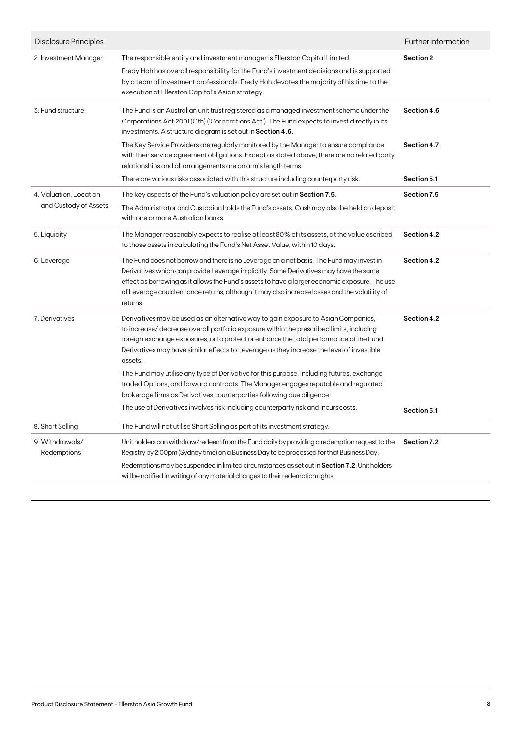| Disclosure Principles                           |                                                                                                                                                                                                                                                                                                                                                                                                  | Further information |
|-------------------------------------------------|--------------------------------------------------------------------------------------------------------------------------------------------------------------------------------------------------------------------------------------------------------------------------------------------------------------------------------------------------------------------------------------------------|---------------------|
| 2. Investment Manager                           | The responsible entity and investment manager is Ellerston Capital Limited.<br>Fredy Hoh has overall responsibility for the Fund's investment decisions and is supported<br>by a team of investment professionals. Fredy Hoh devotes the majority of his time to the<br>execution of Ellerston Capital's Asian strategy.                                                                         | Section 2           |
| 3. Fund structure                               | The Fund is an Australian unit trust registered as a managed investment scheme under the<br>Corporations Act 2001 (Cth) ('Corporations Act'). The Fund expects to invest directly in its<br>investments. A structure diagram is set out in Section 4.6.                                                                                                                                          | Section 4.6         |
|                                                 | The Key Service Providers are regularly monitored by the Manager to ensure compliance<br>with their service agreement obligations. Except as stated above, there are no related party<br>relationships and all arrangements are on arm's length terms.                                                                                                                                           | Section 4.7         |
|                                                 | There are various risks associated with this structure including counterparty risk.                                                                                                                                                                                                                                                                                                              | Section 5.1         |
| 4. Valuation, Location<br>and Custody of Assets | The key aspects of the Fund's valuation policy are set out in <b>Section 7.5</b> .<br>The Administrator and Custodian holds the Fund's assets. Cash may also be held on deposit<br>with one or more Australian banks.                                                                                                                                                                            | Section 7.5         |
| 5. Liquidity                                    | The Manager reasonably expects to realise at least 80% of its assets, at the value ascribed<br>to those assets in calculating the Fund's Net Asset Value, within 10 days.                                                                                                                                                                                                                        | Section 4.2         |
| 6. Leverage                                     | The Fund does not borrow and there is no Leverage on a net basis. The Fund may invest in<br>Derivatives which can provide Leverage implicitly. Some Derivatives may have the same<br>effect as borrowing as it allows the Fund's assets to have a larger economic exposure. The use<br>of Leverage could enhance returns, although it may also increase losses and the volatility of<br>returns. | Section 4.2         |
| 7. Derivatives                                  | Derivatives may be used as an alternative way to gain exposure to Asian Companies,<br>to increase/decrease overall portfolio exposure within the prescribed limits, including<br>foreign exchange exposures, or to protect or enhance the total performance of the Fund.<br>Derivatives may have similar effects to Leverage as they increase the level of investible<br>assets.                 | Section 4.2         |
|                                                 | The Fund may utilise any type of Derivative for this purpose, including futures, exchange<br>traded Options, and forward contracts. The Manager engages reputable and regulated<br>brokerage firms as Derivatives counterparties following due diligence.                                                                                                                                        |                     |
|                                                 | The use of Derivatives involves risk including counterparty risk and incurs costs.                                                                                                                                                                                                                                                                                                               | Section 5.1         |
| 8. Short Selling                                | The Fund will not utilise Short Selling as part of its investment strategy.                                                                                                                                                                                                                                                                                                                      |                     |
| 9. Withdrawals/<br>Redemptions                  | Unit holders can withdraw/redeem from the Fund daily by providing a redemption request to the<br>Registry by 2:00pm (Sydney time) on a Business Day to be processed for that Business Day.<br>Redemptions may be suspended in limited circumstances as set out in Section 7.2. Unit holders                                                                                                      | Section 7.2         |
|                                                 | will be notified in writing of any material changes to their redemption rights.                                                                                                                                                                                                                                                                                                                  |                     |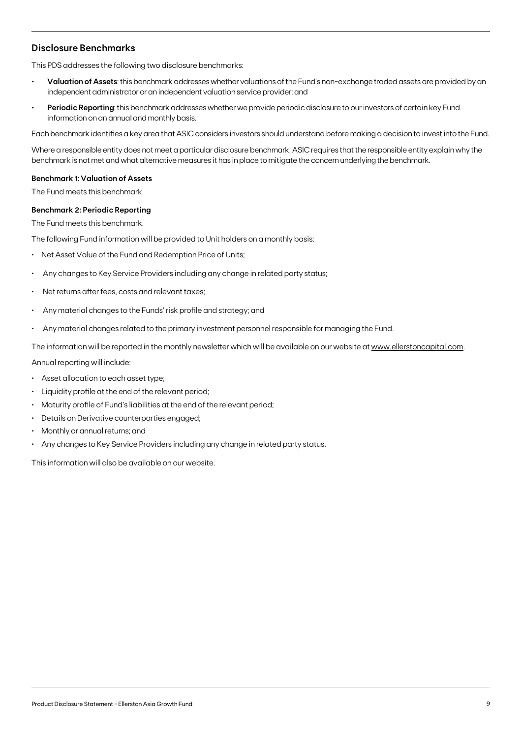### **Disclosure Benchmarks**

This PDS addresses the following two disclosure benchmarks:

- **• Valuation of Assets**: this benchmark addresses whether valuations of the Fund's non-exchange traded assets are provided by an independent administrator or an independent valuation service provider; and
- **• Periodic Reporting**: this benchmark addresses whether we provide periodic disclosure to our investors of certain key Fund information on an annual and monthly basis.

Each benchmark identifies a key area that ASIC considers investors should understand before making a decision to invest into the Fund.

Where a responsible entity does not meet a particular disclosure benchmark, ASIC requires that the responsible entity explain why the benchmark is not met and what alternative measures it has in place to mitigate the concern underlying the benchmark.

### **Benchmark 1: Valuation of Assets**

The Fund meets this benchmark.

### **Benchmark 2: Periodic Reporting**

The Fund meets this benchmark.

The following Fund information will be provided to Unit holders on a monthly basis:

- Net Asset Value of the Fund and Redemption Price of Units;
- Any changes to Key Service Providers including any change in related party status;
- Net returns after fees, costs and relevant taxes;
- Any material changes to the Funds' risk profile and strategy; and
- Any material changes related to the primary investment personnel responsible for managing the Fund.

The information will be reported in the monthly newsletter which will be available on our website at [www.ellerstoncapital.com](http://www.ellerstoncapital.com).

Annual reporting will include:

- Asset allocation to each asset type;
- Liquidity profile at the end of the relevant period;
- Maturity profile of Fund's liabilities at the end of the relevant period;
- Details on Derivative counterparties engaged;
- Monthly or annual returns; and
- Any changes to Key Service Providers including any change in related party status.

This information will also be available on our website.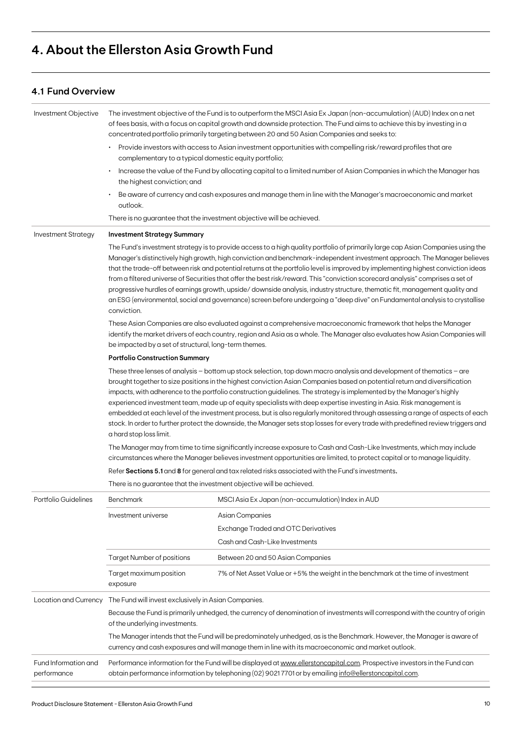## **4. About the Ellerston Asia Growth Fund**

### **4.1 Fund Overview**

| Provide investors with access to Asian investment opportunities with compelling risk/reward profiles that are<br>complementary to a typical domestic equity portfolio;                                                                                                                                                                                                                                                                                                                                                                                                                                                                                                                                                                                                                                           |                                                                                                                                                                                                                                                                                                                                                                                             |  |  |
|------------------------------------------------------------------------------------------------------------------------------------------------------------------------------------------------------------------------------------------------------------------------------------------------------------------------------------------------------------------------------------------------------------------------------------------------------------------------------------------------------------------------------------------------------------------------------------------------------------------------------------------------------------------------------------------------------------------------------------------------------------------------------------------------------------------|---------------------------------------------------------------------------------------------------------------------------------------------------------------------------------------------------------------------------------------------------------------------------------------------------------------------------------------------------------------------------------------------|--|--|
|                                                                                                                                                                                                                                                                                                                                                                                                                                                                                                                                                                                                                                                                                                                                                                                                                  |                                                                                                                                                                                                                                                                                                                                                                                             |  |  |
| Increase the value of the Fund by allocating capital to a limited number of Asian Companies in which the Manager has<br>the highest conviction; and                                                                                                                                                                                                                                                                                                                                                                                                                                                                                                                                                                                                                                                              |                                                                                                                                                                                                                                                                                                                                                                                             |  |  |
| Be aware of currency and cash exposures and manage them in line with the Manager's macroeconomic and market<br>outlook.                                                                                                                                                                                                                                                                                                                                                                                                                                                                                                                                                                                                                                                                                          |                                                                                                                                                                                                                                                                                                                                                                                             |  |  |
| There is no guarantee that the investment objective will be achieved.                                                                                                                                                                                                                                                                                                                                                                                                                                                                                                                                                                                                                                                                                                                                            |                                                                                                                                                                                                                                                                                                                                                                                             |  |  |
| <b>Investment Strategy</b><br><b>Investment Strategy Summary</b>                                                                                                                                                                                                                                                                                                                                                                                                                                                                                                                                                                                                                                                                                                                                                 |                                                                                                                                                                                                                                                                                                                                                                                             |  |  |
| The Fund's investment strategy is to provide access to a high quality portfolio of primarily large cap Asian Companies using the<br>Manager's distinctively high growth, high conviction and benchmark-independent investment approach. The Manager believes<br>that the trade-off between risk and potential returns at the portfolio level is improved by implementing highest conviction ideas<br>from a filtered universe of Securities that offer the best risk/reward. This "conviction scorecard analysis" comprises a set of<br>progressive hurdles of earnings growth, upside/downside analysis, industry structure, thematic fit, management quality and<br>an ESG (environmental, social and governance) screen before undergoing a "deep dive" on Fundamental analysis to crystallise<br>conviction. |                                                                                                                                                                                                                                                                                                                                                                                             |  |  |
| be impacted by a set of structural, long-term themes.                                                                                                                                                                                                                                                                                                                                                                                                                                                                                                                                                                                                                                                                                                                                                            | These Asian Companies are also evaluated against a comprehensive macroeconomic framework that helps the Manager<br>identify the market drivers of each country, region and Asia as a whole. The Manager also evaluates how Asian Companies will                                                                                                                                             |  |  |
| <b>Portfolio Construction Summary</b>                                                                                                                                                                                                                                                                                                                                                                                                                                                                                                                                                                                                                                                                                                                                                                            |                                                                                                                                                                                                                                                                                                                                                                                             |  |  |
| impacts, with adherence to the portfolio construction guidelines. The strategy is implemented by the Manager's highly                                                                                                                                                                                                                                                                                                                                                                                                                                                                                                                                                                                                                                                                                            | These three lenses of analysis $-$ bottom up stock selection, top down macro analysis and development of thematics $-$ are<br>brought together to size positions in the highest conviction Asian Companies based on potential return and diversification                                                                                                                                    |  |  |
| a hard stop loss limit.                                                                                                                                                                                                                                                                                                                                                                                                                                                                                                                                                                                                                                                                                                                                                                                          | experienced investment team, made up of equity specialists with deep expertise investing in Asia. Risk management is<br>embedded at each level of the investment process, but is also regularly monitored through assessing a range of aspects of each<br>stock. In order to further protect the downside, the Manager sets stop losses for every trade with predefined review triggers and |  |  |
|                                                                                                                                                                                                                                                                                                                                                                                                                                                                                                                                                                                                                                                                                                                                                                                                                  | The Manager may from time to time significantly increase exposure to Cash and Cash-Like Investments, which may include<br>circumstances where the Manager believes investment opportunities are limited, to protect capital or to manage liquidity.                                                                                                                                         |  |  |
| Refer Sections 5.1 and 8 for general and tax related risks associated with the Fund's investments.                                                                                                                                                                                                                                                                                                                                                                                                                                                                                                                                                                                                                                                                                                               |                                                                                                                                                                                                                                                                                                                                                                                             |  |  |
| There is no guarantee that the investment objective will be achieved.                                                                                                                                                                                                                                                                                                                                                                                                                                                                                                                                                                                                                                                                                                                                            |                                                                                                                                                                                                                                                                                                                                                                                             |  |  |
| MSCI Asia Ex Japan (non-accumulation) Index in AUD<br>Portfolio Guidelines<br><b>Benchmark</b>                                                                                                                                                                                                                                                                                                                                                                                                                                                                                                                                                                                                                                                                                                                   |                                                                                                                                                                                                                                                                                                                                                                                             |  |  |
| <b>Asian Companies</b><br>Investment universe                                                                                                                                                                                                                                                                                                                                                                                                                                                                                                                                                                                                                                                                                                                                                                    |                                                                                                                                                                                                                                                                                                                                                                                             |  |  |
| <b>Exchange Traded and OTC Derivatives</b>                                                                                                                                                                                                                                                                                                                                                                                                                                                                                                                                                                                                                                                                                                                                                                       |                                                                                                                                                                                                                                                                                                                                                                                             |  |  |
| Cash and Cash-Like Investments                                                                                                                                                                                                                                                                                                                                                                                                                                                                                                                                                                                                                                                                                                                                                                                   |                                                                                                                                                                                                                                                                                                                                                                                             |  |  |
| <b>Target Number of positions</b><br>Between 20 and 50 Asian Companies                                                                                                                                                                                                                                                                                                                                                                                                                                                                                                                                                                                                                                                                                                                                           |                                                                                                                                                                                                                                                                                                                                                                                             |  |  |
| Target maximum position<br>7% of Net Asset Value or +5% the weight in the benchmark at the time of investment<br>exposure                                                                                                                                                                                                                                                                                                                                                                                                                                                                                                                                                                                                                                                                                        |                                                                                                                                                                                                                                                                                                                                                                                             |  |  |
| Location and Currency<br>The Fund will invest exclusively in Asian Companies.                                                                                                                                                                                                                                                                                                                                                                                                                                                                                                                                                                                                                                                                                                                                    |                                                                                                                                                                                                                                                                                                                                                                                             |  |  |
| Because the Fund is primarily unhedged, the currency of denomination of investments will correspond with the country of origin<br>of the underlying investments.                                                                                                                                                                                                                                                                                                                                                                                                                                                                                                                                                                                                                                                 |                                                                                                                                                                                                                                                                                                                                                                                             |  |  |
| The Manager intends that the Fund will be predominately unhedged, as is the Benchmark. However, the Manager is aware of<br>currency and cash exposures and will manage them in line with its macroeconomic and market outlook.                                                                                                                                                                                                                                                                                                                                                                                                                                                                                                                                                                                   |                                                                                                                                                                                                                                                                                                                                                                                             |  |  |
| Fund Information and<br>obtain performance information by telephoning (02) 90217701 or by emailing info@ellerstoncapital.com.<br>performance                                                                                                                                                                                                                                                                                                                                                                                                                                                                                                                                                                                                                                                                     | Performance information for the Fund will be displayed at www.ellerstoncapital.com. Prospective investors in the Fund can                                                                                                                                                                                                                                                                   |  |  |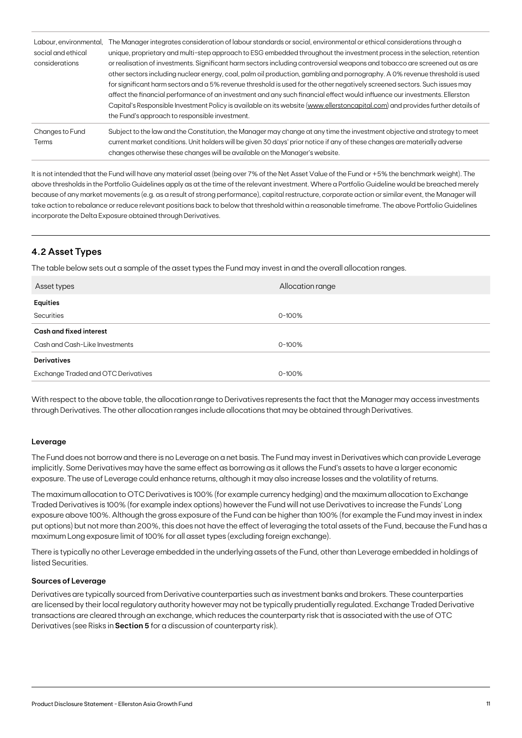| Labour, environmental,<br>social and ethical<br>considerations | The Manager integrates consideration of labour standards or social, environmental or ethical considerations through a<br>unique, proprietary and multi-step approach to ESG embedded throughout the investment process in the selection, retention<br>or realisation of investments. Significant harm sectors including controversial weapons and tobacco are screened out as are<br>other sectors including nuclear energy, coal, palm oil production, gambling and pornography. A 0% revenue threshold is used<br>for significant harm sectors and a 5% revenue threshold is used for the other negatively screened sectors. Such issues may<br>affect the financial performance of an investment and any such financial effect would influence our investments. Ellerston<br>Capital's Responsible Investment Policy is available on its website (www.ellerstoncapital.com) and provides further details of<br>the Fund's approach to responsible investment. |
|----------------------------------------------------------------|------------------------------------------------------------------------------------------------------------------------------------------------------------------------------------------------------------------------------------------------------------------------------------------------------------------------------------------------------------------------------------------------------------------------------------------------------------------------------------------------------------------------------------------------------------------------------------------------------------------------------------------------------------------------------------------------------------------------------------------------------------------------------------------------------------------------------------------------------------------------------------------------------------------------------------------------------------------|
| Changes to Fund<br>Terms                                       | Subject to the law and the Constitution, the Manager may change at any time the investment objective and strategy to meet<br>current market conditions. Unit holders will be given 30 days' prior notice if any of these changes are materially adverse<br>changes otherwise these changes will be available on the Manager's website.                                                                                                                                                                                                                                                                                                                                                                                                                                                                                                                                                                                                                           |

It is not intended that the Fund will have any material asset (being over 7% of the Net Asset Value of the Fund or +5% the benchmark weight). The above thresholds in the Portfolio Guidelines apply as at the time of the relevant investment. Where a Portfolio Guideline would be breached merely because of any market movements (e.g. as a result of strong performance), capital restructure, corporate action or similar event, the Manager will take action to rebalance or reduce relevant positions back to below that threshold within a reasonable timeframe. The above Portfolio Guidelines incorporate the Delta Exposure obtained through Derivatives.

### **4.2 Asset Types**

The table below sets out a sample of the asset types the Fund may invest in and the overall allocation ranges.

| Asset types                                | Allocation range |
|--------------------------------------------|------------------|
| Equities                                   |                  |
| Securities                                 | $0 - 100\%$      |
| <b>Cash and fixed interest</b>             |                  |
| Cash and Cash-Like Investments             | $0 - 100%$       |
| <b>Derivatives</b>                         |                  |
| <b>Exchange Traded and OTC Derivatives</b> | $0 - 100%$       |

With respect to the above table, the allocation range to Derivatives represents the fact that the Manager may access investments through Derivatives. The other allocation ranges include allocations that may be obtained through Derivatives.

### **Leverage**

The Fund does not borrow and there is no Leverage on a net basis. The Fund may invest in Derivatives which can provide Leverage implicitly. Some Derivatives may have the same effect as borrowing as it allows the Fund's assets to have a larger economic exposure. The use of Leverage could enhance returns, although it may also increase losses and the volatility of returns.

The maximum allocation to OTC Derivatives is 100% (for example currency hedging) and the maximum allocation to Exchange Traded Derivatives is 100% (for example index options) however the Fund will not use Derivatives to increase the Funds' Long exposure above 100%. Although the gross exposure of the Fund can be higher than 100% (for example the Fund may invest in index put options) but not more than 200%, this does not have the effect of leveraging the total assets of the Fund, because the Fund has a maximum Long exposure limit of 100% for all asset types (excluding foreign exchange).

There is typically no other Leverage embedded in the underlying assets of the Fund, other than Leverage embedded in holdings of listed Securities.

### **Sources of Leverage**

Derivatives are typically sourced from Derivative counterparties such as investment banks and brokers. These counterparties are licensed by their local regulatory authority however may not be typically prudentially regulated. Exchange Traded Derivative transactions are cleared through an exchange, which reduces the counterparty risk that is associated with the use of OTC Derivatives (see Risks in **Section 5** for a discussion of counterparty risk).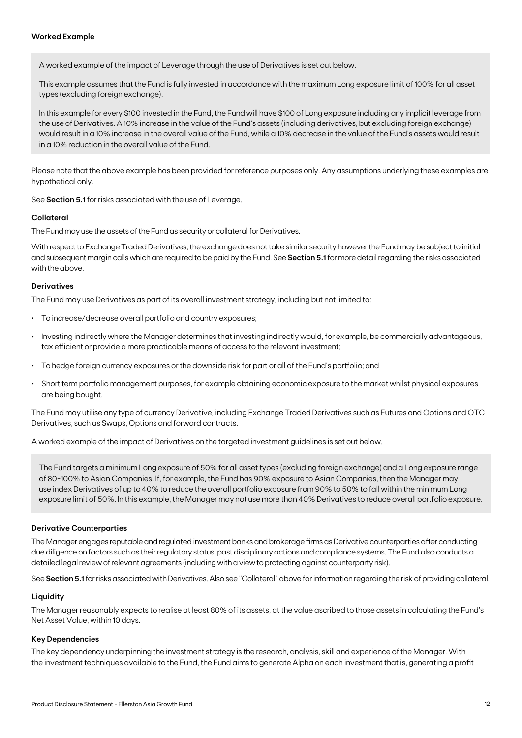A worked example of the impact of Leverage through the use of Derivatives is set out below.

This example assumes that the Fund is fully invested in accordance with the maximum Long exposure limit of 100% for all asset types (excluding foreign exchange).

In this example for every \$100 invested in the Fund, the Fund will have \$100 of Long exposure including any implicit leverage from the use of Derivatives. A 10% increase in the value of the Fund's assets (including derivatives, but excluding foreign exchange) would result in a 10% increase in the overall value of the Fund, while a 10% decrease in the value of the Fund's assets would result in a 10% reduction in the overall value of the Fund.

Please note that the above example has been provided for reference purposes only. Any assumptions underlying these examples are hypothetical only.

See **Section 5.1** for risks associated with the use of Leverage.

#### **Collateral**

The Fund may use the assets of the Fund as security or collateral for Derivatives.

With respect to Exchange Traded Derivatives, the exchange does not take similar security however the Fund may be subject to initial and subsequent margin calls which are required to be paid by the Fund. See **Section 5.1** for more detail regarding the risks associated with the above.

### **Derivatives**

The Fund may use Derivatives as part of its overall investment strategy, including but not limited to:

- To increase/decrease overall portfolio and country exposures;
- Investing indirectly where the Manager determines that investing indirectly would, for example, be commercially advantageous, tax efficient or provide a more practicable means of access to the relevant investment;
- To hedge foreign currency exposures or the downside risk for part or all of the Fund's portfolio; and
- Short term portfolio management purposes, for example obtaining economic exposure to the market whilst physical exposures are being bought.

The Fund may utilise any type of currency Derivative, including Exchange Traded Derivatives such as Futures and Options and OTC Derivatives, such as Swaps, Options and forward contracts.

A worked example of the impact of Derivatives on the targeted investment guidelines is set out below.

The Fund targets a minimum Long exposure of 50% for all asset types (excluding foreign exchange) and a Long exposure range of 80-100% to Asian Companies. If, for example, the Fund has 90% exposure to Asian Companies, then the Manager may use index Derivatives of up to 40% to reduce the overall portfolio exposure from 90% to 50% to fall within the minimum Long exposure limit of 50%. In this example, the Manager may not use more than 40% Derivatives to reduce overall portfolio exposure.

#### **Derivative Counterparties**

The Manager engages reputable and regulated investment banks and brokerage firms as Derivative counterparties after conducting due diligence on factors such as their regulatory status, past disciplinary actions and compliance systems. The Fund also conducts a detailed legal review of relevant agreements (including with a view to protecting against counterparty risk).

See **Section 5.1** for risks associated with Derivatives. Also see "Collateral" above for information regarding the risk of providing collateral.

#### **Liquidity**

The Manager reasonably expects to realise at least 80% of its assets, at the value ascribed to those assets in calculating the Fund's Net Asset Value, within 10 days.

#### **Key Dependencies**

The key dependency underpinning the investment strategy is the research, analysis, skill and experience of the Manager. With the investment techniques available to the Fund, the Fund aims to generate Alpha on each investment that is, generating a profit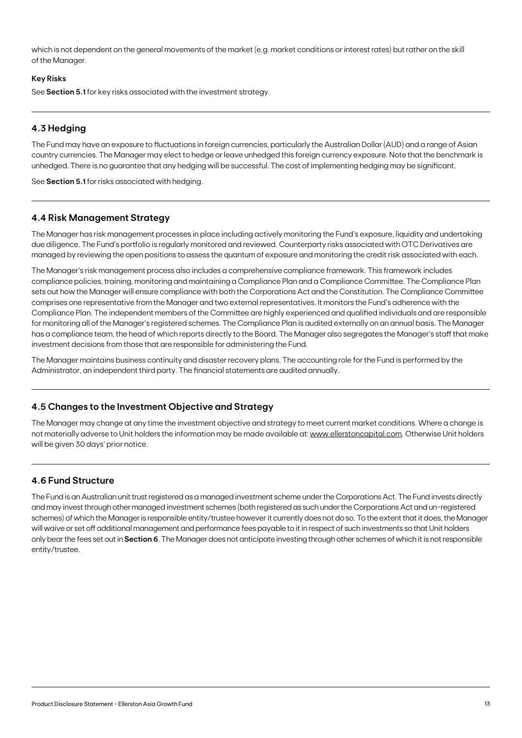which is not dependent on the general movements of the market (e.g. market conditions or interest rates) but rather on the skill of the Manager.

### **Key Risks**

See **Section 5.1** for key risks associated with the investment strategy.

### **4.3 Hedging**

The Fund may have an exposure to fluctuations in foreign currencies, particularly the Australian Dollar (AUD) and a range of Asian country currencies. The Manager may elect to hedge or leave unhedged this foreign currency exposure. Note that the benchmark is unhedged. There is no guarantee that any hedging will be successful. The cost of implementing hedging may be significant.

See **Section 5.1** for risks associated with hedging.

### **4.4 Risk Management Strategy**

The Manager has risk management processes in place including actively monitoring the Fund's exposure, liquidity and undertaking due diligence. The Fund's portfolio is regularly monitored and reviewed. Counterparty risks associated with OTC Derivatives are managed by reviewing the open positions to assess the quantum of exposure and monitoring the credit risk associated with each.

The Manager's risk management process also includes a comprehensive compliance framework. This framework includes compliance policies, training, monitoring and maintaining a Compliance Plan and a Compliance Committee. The Compliance Plan sets out how the Manager will ensure compliance with both the Corporations Act and the Constitution. The Compliance Committee comprises one representative from the Manager and two external representatives. It monitors the Fund's adherence with the Compliance Plan. The independent members of the Committee are highly experienced and qualified individuals and are responsible for monitoring all of the Manager's registered schemes. The Compliance Plan is audited externally on an annual basis. The Manager has a compliance team, the head of which reports directly to the Board. The Manager also segregates the Manager's staff that make investment decisions from those that are responsible for administering the Fund.

The Manager maintains business continuity and disaster recovery plans. The accounting role for the Fund is performed by the Administrator, an independent third party. The financial statements are audited annually.

### **4.5 Changes to the Investment Objective and Strategy**

The Manager may change at any time the investment objective and strategy to meet current market conditions. Where a change is not materially adverse to Unit holders the information may be made available at: [www.ellerstoncapital.com](http://www.ellerstoncapital.com). Otherwise Unit holders will be given 30 days' prior notice.

### **4.6 Fund Structure**

The Fund is an Australian unit trust registered as a managed investment scheme under the Corporations Act. The Fund invests directly and may invest through other managed investment schemes (both registered as such under the Corporations Act and un-registered schemes) of which the Manager is responsible entity/trustee however it currently does not do so. To the extent that it does, the Manager will waive or set off additional management and performance fees payable to it in respect of such investments so that Unit holders only bear the fees set out in **Section 6**. The Manager does not anticipate investing through other schemes of which it is not responsible entity/trustee.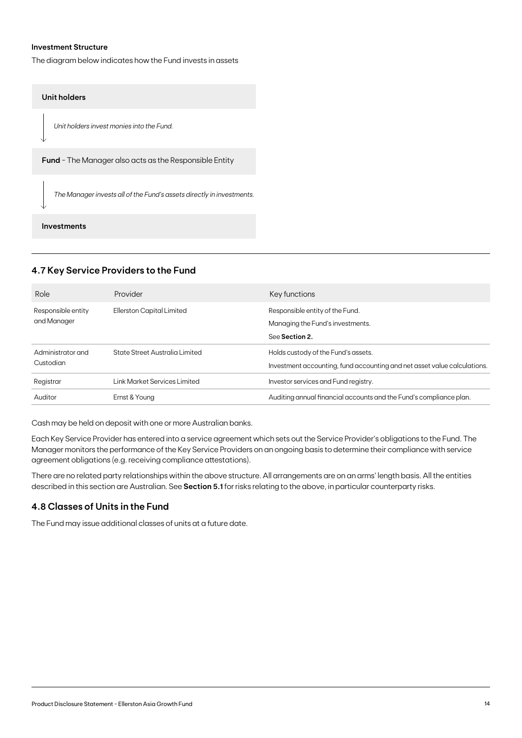### **Investment Structure**

The diagram below indicates how the Fund invests in assets

### **Unit holders**

*Unit holders invest monies into the Fund.*

**Fund** - The Manager also acts as the Responsible Entity

*The Manager invests all of the Fund's assets directly in investments.*

### **Investments**

### **4.7 Key Service Providers to the Fund**

| Role                              | Provider                       | Key functions                                                                                                   |
|-----------------------------------|--------------------------------|-----------------------------------------------------------------------------------------------------------------|
| Responsible entity<br>and Manager | Ellerston Capital Limited      | Responsible entity of the Fund.<br>Managing the Fund's investments.<br>See Section 2.                           |
| Administrator and<br>Custodian    | State Street Australia Limited | Holds custody of the Fund's assets.<br>Investment accounting, fund accounting and net asset value calculations. |
| Registrar                         | Link Market Services Limited   | Investor services and Fund registry.                                                                            |
| Auditor                           | Ernst & Young                  | Auditing annual financial accounts and the Fund's compliance plan.                                              |
|                                   |                                |                                                                                                                 |

Cash may be held on deposit with one or more Australian banks.

Each Key Service Provider has entered into a service agreement which sets out the Service Provider's obligations to the Fund. The Manager monitors the performance of the Key Service Providers on an ongoing basis to determine their compliance with service agreement obligations (e.g. receiving compliance attestations).

There are no related party relationships within the above structure. All arrangements are on an arms' length basis. All the entities described in this section are Australian. See **Section 5.1** for risks relating to the above, in particular counterparty risks.

### **4.8 Classes of Units in the Fund**

The Fund may issue additional classes of units at a future date.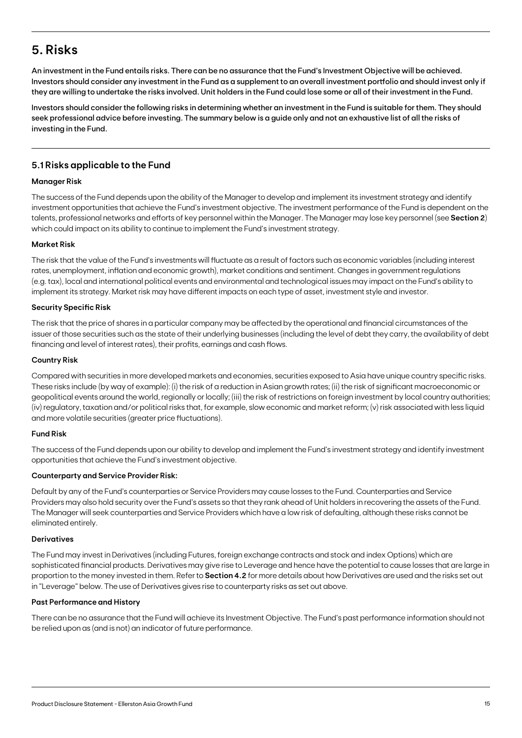## **5. Risks**

An investment in the Fund entails risks. There can be no assurance that the Fund's Investment Objective will be achieved. Investors should consider any investment in the Fund as a supplement to an overall investment portfolio and should invest only if they are willing to undertake the risks involved. Unit holders in the Fund could lose some or all of their investment in the Fund.

Investors should consider the following risks in determining whether an investment in the Fund is suitable for them. They should seek professional advice before investing. The summary below is a guide only and not an exhaustive list of all the risks of investing in the Fund.

### **5.1 Risks applicable to the Fund**

### **Manager Risk**

The success of the Fund depends upon the ability of the Manager to develop and implement its investment strategy and identify investment opportunities that achieve the Fund's investment objective. The investment performance of the Fund is dependent on the talents, professional networks and efforts of key personnel within the Manager. The Manager may lose key personnel (see **Section 2**) which could impact on its ability to continue to implement the Fund's investment strategy.

### **Market Risk**

The risk that the value of the Fund's investments will fluctuate as a result of factors such as economic variables (including interest rates, unemployment, inflation and economic growth), market conditions and sentiment. Changes in government regulations (e.g. tax), local and international political events and environmental and technological issues may impact on the Fund's ability to implement its strategy. Market risk may have different impacts on each type of asset, investment style and investor.

### **Security Specific Risk**

The risk that the price of shares in a particular company may be affected by the operational and financial circumstances of the issuer of those securities such as the state of their underlying businesses (including the level of debt they carry, the availability of debt financing and level of interest rates), their profits, earnings and cash flows.

### **Country Risk**

Compared with securities in more developed markets and economies, securities exposed to Asia have unique country specific risks. These risks include (by way of example): (i) the risk of a reduction in Asian growth rates; (ii) the risk of significant macroeconomic or geopolitical events around the world, regionally or locally; (iii) the risk of restrictions on foreign investment by local country authorities; (iv) regulatory, taxation and/or political risks that, for example, slow economic and market reform; (v) risk associated with less liquid and more volatile securities (greater price fluctuations).

### **Fund Risk**

The success of the Fund depends upon our ability to develop and implement the Fund's investment strategy and identify investment opportunities that achieve the Fund's investment objective.

### **Counterparty and Service Provider Risk:**

Default by any of the Fund's counterparties or Service Providers may cause losses to the Fund. Counterparties and Service Providers may also hold security over the Fund's assets so that they rank ahead of Unit holders in recovering the assets of the Fund. The Manager will seek counterparties and Service Providers which have a low risk of defaulting, although these risks cannot be eliminated entirely.

### **Derivatives**

The Fund may invest in Derivatives (including Futures, foreign exchange contracts and stock and index Options) which are sophisticated financial products. Derivatives may give rise to Leverage and hence have the potential to cause losses that are large in proportion to the money invested in them. Refer to **Section 4.2** for more details about how Derivatives are used and the risks set out in "Leverage" below. The use of Derivatives gives rise to counterparty risks as set out above.

### **Past Performance and History**

There can be no assurance that the Fund will achieve its Investment Objective. The Fund's past performance information should not be relied upon as (and is not) an indicator of future performance.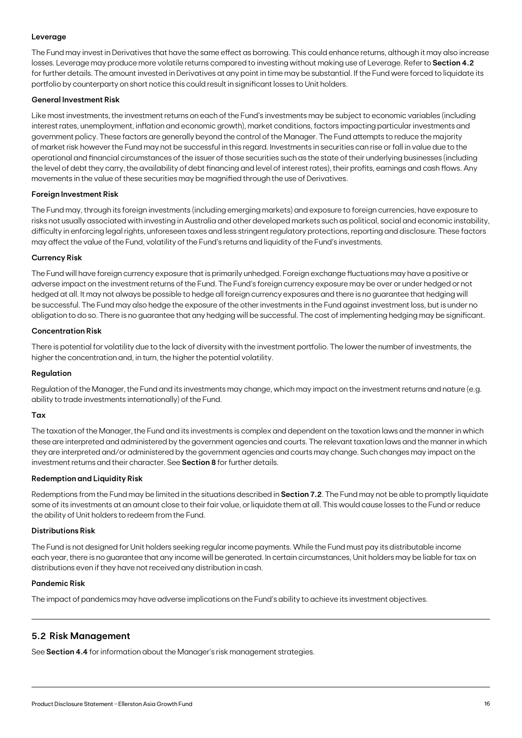### **Leverage**

The Fund may invest in Derivatives that have the same effect as borrowing. This could enhance returns, although it may also increase losses. Leverage may produce more volatile returns compared to investing without making use of Leverage. Refer to **Section 4.2** for further details. The amount invested in Derivatives at any point in time may be substantial. If the Fund were forced to liquidate its portfolio by counterparty on short notice this could result in significant losses to Unit holders.

#### **General Investment Risk**

Like most investments, the investment returns on each of the Fund's investments may be subject to economic variables (including interest rates, unemployment, inflation and economic growth), market conditions, factors impacting particular investments and government policy. These factors are generally beyond the control of the Manager. The Fund attempts to reduce the majority of market risk however the Fund may not be successful in this regard. Investments in securities can rise or fall in value due to the operational and financial circumstances of the issuer of those securities such as the state of their underlying businesses (including the level of debt they carry, the availability of debt financing and level of interest rates), their profits, earnings and cash flows. Any movements in the value of these securities may be magnified through the use of Derivatives.

#### **Foreign Investment Risk**

The Fund may, through its foreign investments (including emerging markets) and exposure to foreign currencies, have exposure to risks not usually associated with investing in Australia and other developed markets such as political, social and economic instability, difficulty in enforcing legal rights, unforeseen taxes and less stringent regulatory protections, reporting and disclosure. These factors may affect the value of the Fund, volatility of the Fund's returns and liquidity of the Fund's investments.

### **Currency Risk**

The Fund will have foreign currency exposure that is primarily unhedged. Foreign exchange fluctuations may have a positive or adverse impact on the investment returns of the Fund. The Fund's foreign currency exposure may be over or under hedged or not hedged at all. It may not always be possible to hedge all foreign currency exposures and there is no guarantee that hedging will be successful. The Fund may also hedge the exposure of the other investments in the Fund against investment loss, but is under no obligation to do so. There is no guarantee that any hedging will be successful. The cost of implementing hedging may be significant.

### **Concentration Risk**

There is potential for volatility due to the lack of diversity with the investment portfolio. The lower the number of investments, the higher the concentration and, in turn, the higher the potential volatility.

#### **Regulation**

Regulation of the Manager, the Fund and its investments may change, which may impact on the investment returns and nature (e.g. ability to trade investments internationally) of the Fund.

#### **Tax**

The taxation of the Manager, the Fund and its investments is complex and dependent on the taxation laws and the manner in which these are interpreted and administered by the government agencies and courts. The relevant taxation laws and the manner in which they are interpreted and/or administered by the government agencies and courts may change. Such changes may impact on the investment returns and their character. See **Section 8** for further details.

#### **Redemption and Liquidity Risk**

Redemptions from the Fund may be limited in the situations described in **Section 7.2**. The Fund may not be able to promptly liquidate some of its investments at an amount close to their fair value, or liquidate them at all. This would cause losses to the Fund or reduce the ability of Unit holders to redeem from the Fund.

#### **Distributions Risk**

The Fund is not designed for Unit holders seeking regular income payments. While the Fund must pay its distributable income each year, there is no guarantee that any income will be generated. In certain circumstances, Unit holders may be liable for tax on distributions even if they have not received any distribution in cash.

#### **Pandemic Risk**

The impact of pandemics may have adverse implications on the Fund's ability to achieve its investment objectives.

### **5.2 Risk Management**

See **Section 4.4** for information about the Manager's risk management strategies.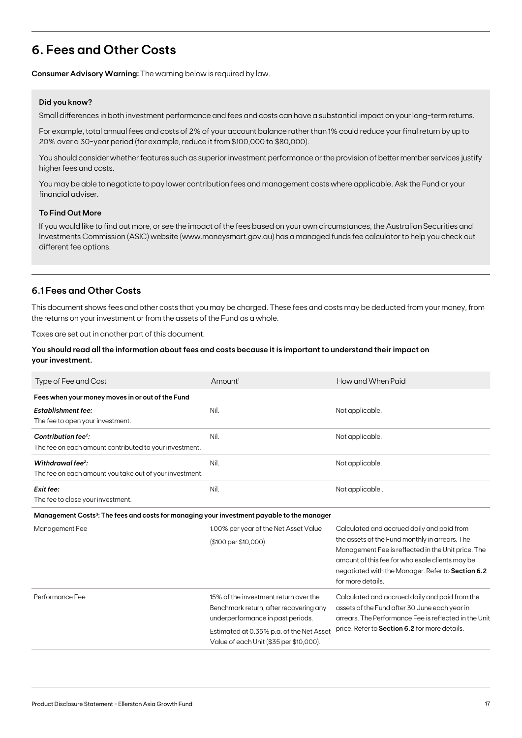## **6. Fees and Other Costs**

**Consumer Advisory Warning:** The warning below is required by law.

### **Did you know?**

Small differences in both investment performance and fees and costs can have a substantial impact on your long-term returns.

For example, total annual fees and costs of 2% of your account balance rather than 1% could reduce your final return by up to 20% over a 30-year period (for example, reduce it from \$100,000 to \$80,000).

You should consider whether features such as superior investment performance or the provision of better member services justify higher fees and costs.

You may be able to negotiate to pay lower contribution fees and management costs where applicable. Ask the Fund or your financial adviser.

### **To Find Out More**

If you would like to find out more, or see the impact of the fees based on your own circumstances, the Australian Securities and Investments Commission (ASIC) website (www.moneysmart.gov.au) has a managed funds fee calculator to help you check out different fee options.

### **6.1 Fees and Other Costs**

This document shows fees and other costs that you may be charged. These fees and costs may be deducted from your money, from the returns on your investment or from the assets of the Fund as a whole.

Taxes are set out in another part of this document.

### **You should read all the information about fees and costs because it is important to understand their impact on your investment.**

| Type of Fee and Cost                                                                                   | Amount <sup>1</sup>                                                                                                                                                                                         | How and When Paid                                                                                                                                                                                                                                                               |
|--------------------------------------------------------------------------------------------------------|-------------------------------------------------------------------------------------------------------------------------------------------------------------------------------------------------------------|---------------------------------------------------------------------------------------------------------------------------------------------------------------------------------------------------------------------------------------------------------------------------------|
| Fees when your money moves in or out of the Fund                                                       |                                                                                                                                                                                                             |                                                                                                                                                                                                                                                                                 |
| <b>Establishment fee:</b><br>The fee to open your investment.                                          | Nil.                                                                                                                                                                                                        | Not applicable.                                                                                                                                                                                                                                                                 |
| Contribution fee <sup>2</sup> :<br>The fee on each amount contributed to your investment.              | Nil.                                                                                                                                                                                                        | Not applicable.                                                                                                                                                                                                                                                                 |
| Withdrawal fee <sup>2</sup> :<br>The fee on each amount you take out of your investment.               | Nil.                                                                                                                                                                                                        | Not applicable.                                                                                                                                                                                                                                                                 |
| Exit fee:<br>The fee to close your investment.                                                         | Nil.                                                                                                                                                                                                        | Not applicable.                                                                                                                                                                                                                                                                 |
| Management Costs <sup>3</sup> : The fees and costs for managing your investment payable to the manager |                                                                                                                                                                                                             |                                                                                                                                                                                                                                                                                 |
| Management Fee                                                                                         | 1.00% per year of the Net Asset Value<br>(\$100 per \$10,000).                                                                                                                                              | Calculated and accrued daily and paid from<br>the assets of the Fund monthly in arrears. The<br>Management Fee is reflected in the Unit price. The<br>amount of this fee for wholesale clients may be<br>negotiated with the Manager. Refer to Section 6.2<br>for more details. |
| Performance Fee                                                                                        | 15% of the investment return over the<br>Benchmark return, after recovering any<br>underperformance in past periods.<br>Estimated at 0.35% p.a. of the Net Asset<br>Value of each Unit (\$35 per \$10,000). | Calculated and accrued daily and paid from the<br>assets of the Fund after 30 June each year in<br>arrears. The Performance Fee is reflected in the Unit<br>price. Refer to Section 6.2 for more details.                                                                       |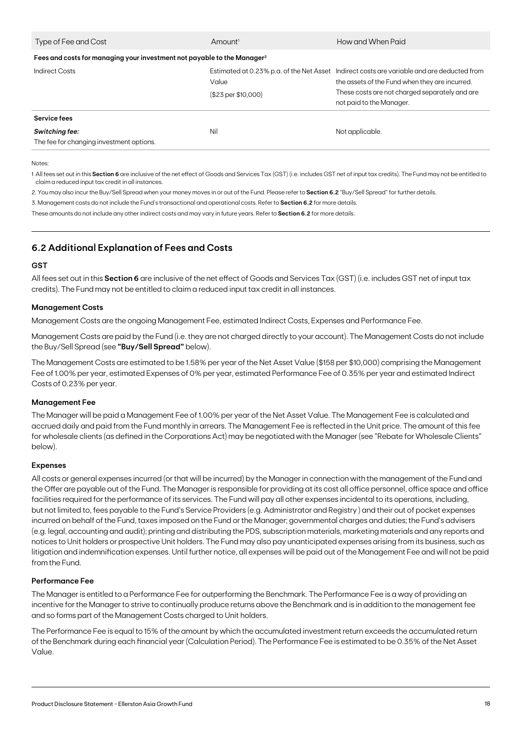| Type of Fee and Cost                                                                | Amount <sup>1</sup>          | How and When Paid                                                                                                                                                                                                          |
|-------------------------------------------------------------------------------------|------------------------------|----------------------------------------------------------------------------------------------------------------------------------------------------------------------------------------------------------------------------|
| Fees and costs for managing your investment not payable to the Manager <sup>2</sup> |                              |                                                                                                                                                                                                                            |
| Indirect Costs                                                                      | Value<br>(\$23 per \$10,000) | Estimated at 0.23% p.a. of the Net Asset Indirect costs are variable and are deducted from<br>the assets of the Fund when they are incurred.<br>These costs are not charged separately and are<br>not paid to the Manager. |
| Service fees<br><b>Switching fee:</b><br>The fee for changing investment options.   | Nil                          | Not applicable.                                                                                                                                                                                                            |
|                                                                                     |                              |                                                                                                                                                                                                                            |

Notes:

1 All fees set out in this **Section 6** are inclusive of the net effect of Goods and Services Tax (GST) (i.e. includes GST net of input tax credits). The Fund may not be entitled to claim a reduced input tax credit in all instances.

2. You may also incur the Buy/Sell Spread when your money moves in or out of the Fund. Please refer to **Section 6.2** "Buy/Sell Spread" for further details.

3. Management costs do not include the Fund's transactional and operational costs. Refer to **Section 6.2** for more details.

These amounts do not include any other indirect costs and may vary in future years. Refer to **Section 6.2** for more details.

### **6.2 Additional Explanation of Fees and Costs**

### **GST**

All fees set out in this **Section 6** are inclusive of the net effect of Goods and Services Tax (GST) (i.e. includes GST net of input tax credits). The Fund may not be entitled to claim a reduced input tax credit in all instances.

### **Management Costs**

Management Costs are the ongoing Management Fee, estimated Indirect Costs, Expenses and Performance Fee.

Management Costs are paid by the Fund (i.e. they are not charged directly to your account). The Management Costs do not include the Buy/Sell Spread (see **"Buy/Sell Spread"** below).

The Management Costs are estimated to be 1.58% per year of the Net Asset Value (\$158 per \$10,000) comprising the Management Fee of 1.00% per year, estimated Expenses of 0% per year, estimated Performance Fee of 0.35% per year and estimated Indirect Costs of 0.23% per year.

#### **Management Fee**

The Manager will be paid a Management Fee of 1.00% per year of the Net Asset Value. The Management Fee is calculated and accrued daily and paid from the Fund monthly in arrears. The Management Fee is reflected in the Unit price. The amount of this fee for wholesale clients (as defined in the Corporations Act) may be negotiated with the Manager (see "Rebate for Wholesale Clients" below).

### **Expenses**

All costs or general expenses incurred (or that will be incurred) by the Manager in connection with the management of the Fund and the Offer are payable out of the Fund. The Manager is responsible for providing at its cost all office personnel, office space and office facilities required for the performance of its services. The Fund will pay all other expenses incidental to its operations, including, but not limited to, fees payable to the Fund's Service Providers (e.g. Administrator and Registry ) and their out of pocket expenses incurred on behalf of the Fund, taxes imposed on the Fund or the Manager; governmental charges and duties; the Fund's advisers (e.g. legal, accounting and audit); printing and distributing the PDS, subscription materials, marketing materials and any reports and notices to Unit holders or prospective Unit holders. The Fund may also pay unanticipated expenses arising from its business, such as litigation and indemnification expenses. Until further notice, all expenses will be paid out of the Management Fee and will not be paid from the Fund.

### **Performance Fee**

The Manager is entitled to a Performance Fee for outperforming the Benchmark. The Performance Fee is a way of providing an incentive for the Manager to strive to continually produce returns above the Benchmark and is in addition to the management fee and so forms part of the Management Costs charged to Unit holders.

The Performance Fee is equal to 15% of the amount by which the accumulated investment return exceeds the accumulated return of the Benchmark during each financial year (Calculation Period). The Performance Fee is estimated to be 0.35% of the Net Asset Value.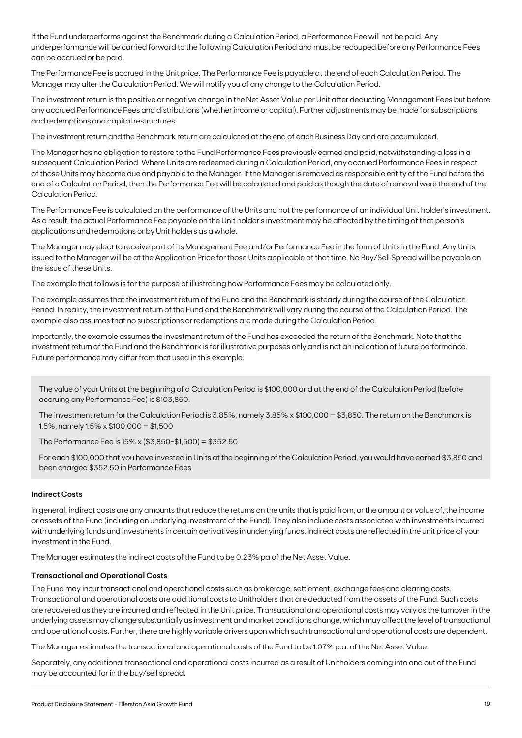If the Fund underperforms against the Benchmark during a Calculation Period, a Performance Fee will not be paid. Any underperformance will be carried forward to the following Calculation Period and must be recouped before any Performance Fees can be accrued or be paid.

The Performance Fee is accrued in the Unit price. The Performance Fee is payable at the end of each Calculation Period. The Manager may alter the Calculation Period. We will notify you of any change to the Calculation Period.

The investment return is the positive or negative change in the Net Asset Value per Unit after deducting Management Fees but before any accrued Performance Fees and distributions (whether income or capital). Further adjustments may be made for subscriptions and redemptions and capital restructures.

The investment return and the Benchmark return are calculated at the end of each Business Day and are accumulated.

The Manager has no obligation to restore to the Fund Performance Fees previously earned and paid, notwithstanding a loss in a subsequent Calculation Period. Where Units are redeemed during a Calculation Period, any accrued Performance Fees in respect of those Units may become due and payable to the Manager. If the Manager is removed as responsible entity of the Fund before the end of a Calculation Period, then the Performance Fee will be calculated and paid as though the date of removal were the end of the Calculation Period.

The Performance Fee is calculated on the performance of the Units and not the performance of an individual Unit holder's investment. As a result, the actual Performance Fee payable on the Unit holder's investment may be affected by the timing of that person's applications and redemptions or by Unit holders as a whole.

The Manager may elect to receive part of its Management Fee and/or Performance Fee in the form of Units in the Fund. Any Units issued to the Manager will be at the Application Price for those Units applicable at that time. No Buy/Sell Spread will be payable on the issue of these Units.

The example that follows is for the purpose of illustrating how Performance Fees may be calculated only.

The example assumes that the investment return of the Fund and the Benchmark is steady during the course of the Calculation Period. In reality, the investment return of the Fund and the Benchmark will vary during the course of the Calculation Period. The example also assumes that no subscriptions or redemptions are made during the Calculation Period.

Importantly, the example assumes the investment return of the Fund has exceeded the return of the Benchmark. Note that the investment return of the Fund and the Benchmark is for illustrative purposes only and is not an indication of future performance. Future performance may differ from that used in this example.

The value of your Units at the beginning of a Calculation Period is \$100,000 and at the end of the Calculation Period (before accruing any Performance Fee) is \$103,850.

The investment return for the Calculation Period is 3.85%, namely 3.85% x \$100,000 = \$3,850. The return on the Benchmark is 1.5%, namely  $1.5\% \times \$100,000 = \$1,500$ 

The Performance Fee is  $15\% \times (\$3,850-\$1,500) = \$352.50$ 

For each \$100,000 that you have invested in Units at the beginning of the Calculation Period, you would have earned \$3,850 and been charged \$352.50 in Performance Fees.

### **Indirect Costs**

In general, indirect costs are any amounts that reduce the returns on the units that is paid from, or the amount or value of, the income or assets of the Fund (including an underlying investment of the Fund). They also include costs associated with investments incurred with underlying funds and investments in certain derivatives in underlying funds. Indirect costs are reflected in the unit price of your investment in the Fund.

The Manager estimates the indirect costs of the Fund to be 0.23% pa of the Net Asset Value.

### **Transactional and Operational Costs**

The Fund may incur transactional and operational costs such as brokerage, settlement, exchange fees and clearing costs. Transactional and operational costs are additional costs to Unitholders that are deducted from the assets of the Fund. Such costs are recovered as they are incurred and reflected in the Unit price. Transactional and operational costs may vary as the turnover in the underlying assets may change substantially as investment and market conditions change, which may affect the level of transactional and operational costs. Further, there are highly variable drivers upon which such transactional and operational costs are dependent.

The Manager estimates the transactional and operational costs of the Fund to be 1.07% p.a. of the Net Asset Value.

Separately, any additional transactional and operational costs incurred as a result of Unitholders coming into and out of the Fund may be accounted for in the buy/sell spread.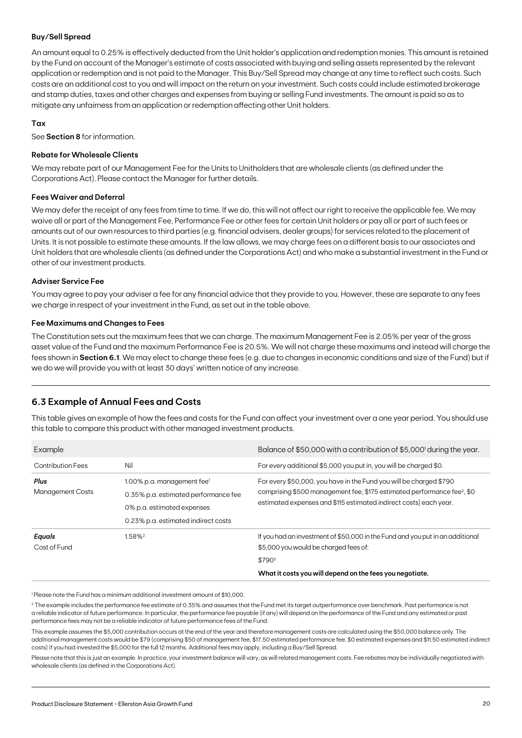### **Buy/Sell Spread**

An amount equal to 0.25% is effectively deducted from the Unit holder's application and redemption monies. This amount is retained by the Fund on account of the Manager's estimate of costs associated with buying and selling assets represented by the relevant application or redemption and is not paid to the Manager. This Buy/Sell Spread may change at any time to reflect such costs. Such costs are an additional cost to you and will impact on the return on your investment. Such costs could include estimated brokerage and stamp duties, taxes and other charges and expenses from buying or selling Fund investments. The amount is paid so as to mitigate any unfairness from an application or redemption affecting other Unit holders.

### **Tax**

See **Section 8** for information.

### **Rebate for Wholesale Clients**

We may rebate part of our Management Fee for the Units to Unitholders that are wholesale clients (as defined under the Corporations Act). Please contact the Manager for further details.

### **Fees Waiver and Deferral**

We may defer the receipt of any fees from time to time. If we do, this will not affect our right to receive the applicable fee. We may waive all or part of the Management Fee, Performance Fee or other fees for certain Unit holders or pay all or part of such fees or amounts out of our own resources to third parties (e.g. financial advisers, dealer groups) for services related to the placement of Units. It is not possible to estimate these amounts. If the law allows, we may charge fees on a different basis to our associates and Unit holders that are wholesale clients (as defined under the Corporations Act) and who make a substantial investment in the Fund or other of our investment products.

### **Adviser Service Fee**

You may agree to pay your adviser a fee for any financial advice that they provide to you. However, these are separate to any fees we charge in respect of your investment in the Fund, as set out in the table above.

### **Fee Maximums and Changes to Fees**

The Constitution sets out the maximum fees that we can charge. The maximum Management Fee is 2.05% per year of the gross asset value of the Fund and the maximum Performance Fee is 20.5%. We will not charge these maximums and instead will charge the fees shown in **Section 6.1**. We may elect to change these fees (e.g. due to changes in economic conditions and size of the Fund) but if we do we will provide you with at least 30 days' written notice of any increase.

### **6.3 Example of Annual Fees and Costs**

This table gives an example of how the fees and costs for the Fund can affect your investment over a one year period. You should use this table to compare this product with other managed investment products.

| Example                         |                                                                                                                                                        | Balance of \$50,000 with a contribution of \$5,000 <sup>1</sup> during the year.                                                                                                                                               |
|---------------------------------|--------------------------------------------------------------------------------------------------------------------------------------------------------|--------------------------------------------------------------------------------------------------------------------------------------------------------------------------------------------------------------------------------|
| <b>Contribution Fees</b>        | Nil                                                                                                                                                    | For every additional \$5,000 you put in, you will be charged \$0.                                                                                                                                                              |
| Plus<br><b>Management Costs</b> | $1.00\%$ p.a. management fee <sup>1</sup><br>0.35% p.a. estimated performance fee<br>0% p.a. estimated expenses<br>0.23% p.a. estimated indirect costs | For every \$50,000, you have in the Fund you will be charged \$790<br>comprising \$500 management fee, \$175 estimated performance fee <sup>2</sup> , \$0<br>estimated expenses and \$115 estimated indirect costs) each year. |
| Equals<br>Cost of Fund          | $1.58\%$ <sup>2</sup>                                                                                                                                  | If you had an investment of \$50,000 in the Fund and you put in an additional<br>\$5,000 you would be charged fees of:<br>\$790 <sup>2</sup><br>What it costs you will depend on the fees you negotiate.                       |

1 Please note the Fund has a minimum additional investment amount of \$10,000.

<sup>2</sup> The example includes the performance fee estimate of 0.35% and assumes that the Fund met its target outperformance over benchmark. Past performance is not a reliable indicator of future performance. In particular, the performance fee payable (if any) will depend on the performance of the Fund and any estimated or past performance fees may not be a reliable indicator of future performance fees of the Fund.

This example assumes the \$5,000 contribution occurs at the end of the year and therefore management costs are calculated using the \$50,000 balance only. The additional management costs would be \$79 (comprising \$50 of management fee, \$17.50 estimated performance fee, \$0 estimated expenses and \$11.50 estimated indirect costs) if you had invested the \$5,000 for the full 12 months. Additional fees may apply, including a Buy/Sell Spread.

Please note that this is just an example. In practice, your investment balance will vary, as will related management costs. Fee rebates may be individually negotiated with wholesale clients (as defined in the Corporations Act).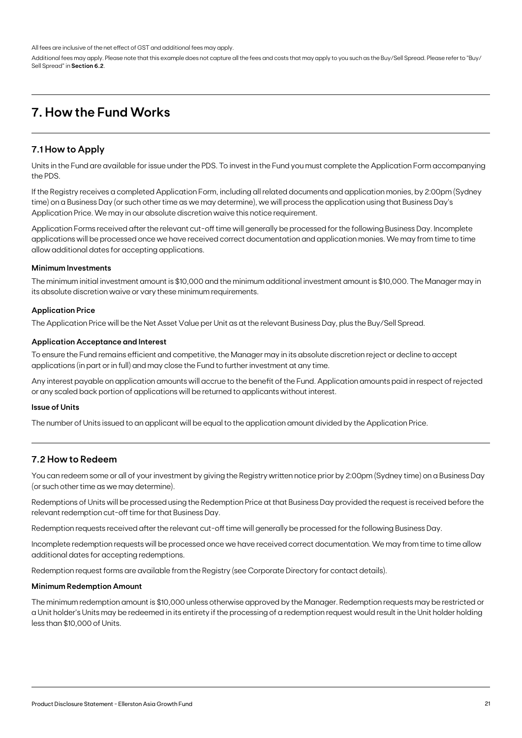All fees are inclusive of the net effect of GST and additional fees may apply.

Additional fees may apply. Please note that this example does not capture all the fees and costs that may apply to you such as the Buy/Sell Spread. Please refer to "Buy/ Sell Spread" in **Section 6.2**.

## **7. How the Fund Works**

### **7.1 How to Apply**

Units in the Fund are available for issue under the PDS. To invest in the Fund you must complete the Application Form accompanying the PDS.

If the Registry receives a completed Application Form, including all related documents and application monies, by 2:00pm (Sydney time) on a Business Day (or such other time as we may determine), we will process the application using that Business Day's Application Price. We may in our absolute discretion waive this notice requirement.

Application Forms received after the relevant cut-off time will generally be processed for the following Business Day. Incomplete applications will be processed once we have received correct documentation and application monies. We may from time to time allow additional dates for accepting applications.

### **Minimum Investments**

The minimum initial investment amount is \$10,000 and the minimum additional investment amount is \$10,000. The Manager may in its absolute discretion waive or vary these minimum requirements.

### **Application Price**

The Application Price will be the Net Asset Value per Unit as at the relevant Business Day, plus the Buy/Sell Spread.

### **Application Acceptance and Interest**

To ensure the Fund remains efficient and competitive, the Manager may in its absolute discretion reject or decline to accept applications (in part or in full) and may close the Fund to further investment at any time.

Any interest payable on application amounts will accrue to the benefit of the Fund. Application amounts paid in respect of rejected or any scaled back portion of applications will be returned to applicants without interest.

### **Issue of Units**

The number of Units issued to an applicant will be equal to the application amount divided by the Application Price.

### **7.2 How to Redeem**

You can redeem some or all of your investment by giving the Registry written notice prior by 2:00pm (Sydney time) on a Business Day (or such other time as we may determine).

Redemptions of Units will be processed using the Redemption Price at that Business Day provided the request is received before the relevant redemption cut-off time for that Business Day.

Redemption requests received after the relevant cut-off time will generally be processed for the following Business Day.

Incomplete redemption requests will be processed once we have received correct documentation. We may from time to time allow additional dates for accepting redemptions.

Redemption request forms are available from the Registry (see Corporate Directory for contact details).

#### **Minimum Redemption Amount**

The minimum redemption amount is \$10,000 unless otherwise approved by the Manager. Redemption requests may be restricted or a Unit holder's Units may be redeemed in its entirety if the processing of a redemption request would result in the Unit holder holding less than \$10,000 of Units.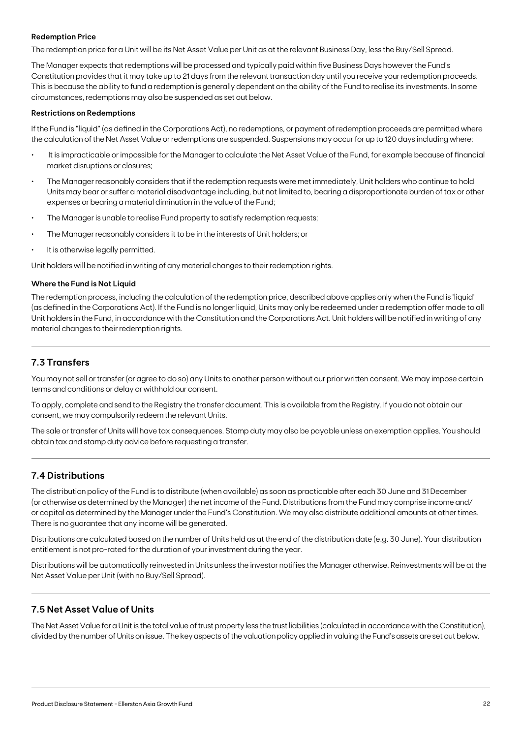### **Redemption Price**

The redemption price for a Unit will be its Net Asset Value per Unit as at the relevant Business Day, less the Buy/Sell Spread.

The Manager expects that redemptions will be processed and typically paid within five Business Days however the Fund's Constitution provides that it may take up to 21 days from the relevant transaction day until you receive your redemption proceeds. This is because the ability to fund a redemption is generally dependent on the ability of the Fund to realise its investments. In some circumstances, redemptions may also be suspended as set out below.

#### **Restrictions on Redemptions**

If the Fund is "liquid" (as defined in the Corporations Act), no redemptions, or payment of redemption proceeds are permitted where the calculation of the Net Asset Value or redemptions are suspended. Suspensions may occur for up to 120 days including where:

- It is impracticable or impossible for the Manager to calculate the Net Asset Value of the Fund, for example because of financial market disruptions or closures;
- The Manager reasonably considers that if the redemption requests were met immediately, Unit holders who continue to hold Units may bear or suffer a material disadvantage including, but not limited to, bearing a disproportionate burden of tax or other expenses or bearing a material diminution in the value of the Fund;
- The Manager is unable to realise Fund property to satisfy redemption requests;
- The Manager reasonably considers it to be in the interests of Unit holders; or
- It is otherwise legally permitted.

Unit holders will be notified in writing of any material changes to their redemption rights.

### **Where the Fund is Not Liquid**

The redemption process, including the calculation of the redemption price, described above applies only when the Fund is 'liquid' (as defined in the Corporations Act). If the Fund is no longer liquid, Units may only be redeemed under a redemption offer made to all Unit holders in the Fund, in accordance with the Constitution and the Corporations Act. Unit holders will be notified in writing of any material changes to their redemption rights.

### **7.3 Transfers**

You may not sell or transfer (or agree to do so) any Units to another person without our prior written consent. We may impose certain terms and conditions or delay or withhold our consent.

To apply, complete and send to the Registry the transfer document. This is available from the Registry. If you do not obtain our consent, we may compulsorily redeem the relevant Units.

The sale or transfer of Units will have tax consequences. Stamp duty may also be payable unless an exemption applies. You should obtain tax and stamp duty advice before requesting a transfer.

### **7.4 Distributions**

The distribution policy of the Fund is to distribute (when available) as soon as practicable after each 30 June and 31 December (or otherwise as determined by the Manager) the net income of the Fund. Distributions from the Fund may comprise income and/ or capital as determined by the Manager under the Fund's Constitution. We may also distribute additional amounts at other times. There is no guarantee that any income will be generated.

Distributions are calculated based on the number of Units held as at the end of the distribution date (e.g. 30 June). Your distribution entitlement is not pro-rated for the duration of your investment during the year.

Distributions will be automatically reinvested in Units unless the investor notifies the Manager otherwise. Reinvestments will be at the Net Asset Value per Unit (with no Buy/Sell Spread).

### **7.5 Net Asset Value of Units**

The Net Asset Value for a Unit is the total value of trust property less the trust liabilities (calculated in accordance with the Constitution), divided by the number of Units on issue. The key aspects of the valuation policy applied in valuing the Fund's assets are set out below.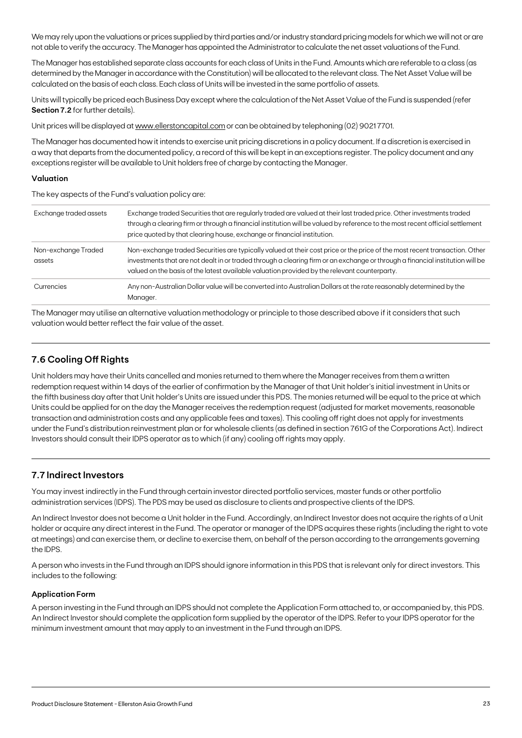We may rely upon the valuations or prices supplied by third parties and/or industry standard pricing models for which we will not or are not able to verify the accuracy. The Manager has appointed the Administrator to calculate the net asset valuations of the Fund.

The Manager has established separate class accounts for each class of Units in the Fund. Amounts which are referable to a class (as determined by the Manager in accordance with the Constitution) will be allocated to the relevant class. The Net Asset Value will be calculated on the basis of each class. Each class of Units will be invested in the same portfolio of assets.

Units will typically be priced each Business Day except where the calculation of the Net Asset Value of the Fund is suspended (refer **Section 7.2** for further details).

Unit prices will be displayed at [www.ellerstoncapital.com](http://www.ellerstoncapital.com) or can be obtained by telephoning (02) 90217701.

The Manager has documented how it intends to exercise unit pricing discretions in a policy document. If a discretion is exercised in a way that departs from the documented policy, a record of this will be kept in an exceptions register. The policy document and any exceptions register will be available to Unit holders free of charge by contacting the Manager.

### **Valuation**

The key aspects of the Fund's valuation policy are:

| Exchange traded assets        | Exchange traded Securities that are regularly traded are valued at their last traded price. Other investments traded<br>through a clearing firm or through a financial institution will be valued by reference to the most recent official settlement<br>price quoted by that clearing house, exchange or financial institution.                            |
|-------------------------------|-------------------------------------------------------------------------------------------------------------------------------------------------------------------------------------------------------------------------------------------------------------------------------------------------------------------------------------------------------------|
| Non-exchange Traded<br>assets | Non-exchange traded Securities are typically valued at their cost price or the price of the most recent transaction. Other<br>investments that are not dealt in or traded through a clearing firm or an exchange or through a financial institution will be<br>valued on the basis of the latest available valuation provided by the relevant counterparty. |
| Currencies                    | Any non-Australian Dollar value will be converted into Australian Dollars at the rate reasonably determined by the<br>Manager.                                                                                                                                                                                                                              |

The Manager may utilise an alternative valuation methodology or principle to those described above if it considers that such valuation would better reflect the fair value of the asset.

### **7.6 Cooling Off Rights**

Unit holders may have their Units cancelled and monies returned to them where the Manager receives from them a written redemption request within 14 days of the earlier of confirmation by the Manager of that Unit holder's initial investment in Units or the fifth business day after that Unit holder's Units are issued under this PDS. The monies returned will be equal to the price at which Units could be applied for on the day the Manager receives the redemption request (adjusted for market movements, reasonable transaction and administration costs and any applicable fees and taxes). This cooling off right does not apply for investments under the Fund's distribution reinvestment plan or for wholesale clients (as defined in section 761G of the Corporations Act). Indirect Investors should consult their IDPS operator as to which (if any) cooling off rights may apply.

### **7.7 Indirect Investors**

You may invest indirectly in the Fund through certain investor directed portfolio services, master funds or other portfolio administration services (IDPS). The PDS may be used as disclosure to clients and prospective clients of the IDPS.

An Indirect Investor does not become a Unit holder in the Fund. Accordingly, an Indirect Investor does not acquire the rights of a Unit holder or acquire any direct interest in the Fund. The operator or manager of the IDPS acquires these rights (including the right to vote at meetings) and can exercise them, or decline to exercise them, on behalf of the person according to the arrangements governing the IDPS.

A person who invests in the Fund through an IDPS should ignore information in this PDS that is relevant only for direct investors. This includes to the following:

### **Application Form**

A person investing in the Fund through an IDPS should not complete the Application Form attached to, or accompanied by, this PDS. An Indirect Investor should complete the application form supplied by the operator of the IDPS. Refer to your IDPS operator for the minimum investment amount that may apply to an investment in the Fund through an IDPS.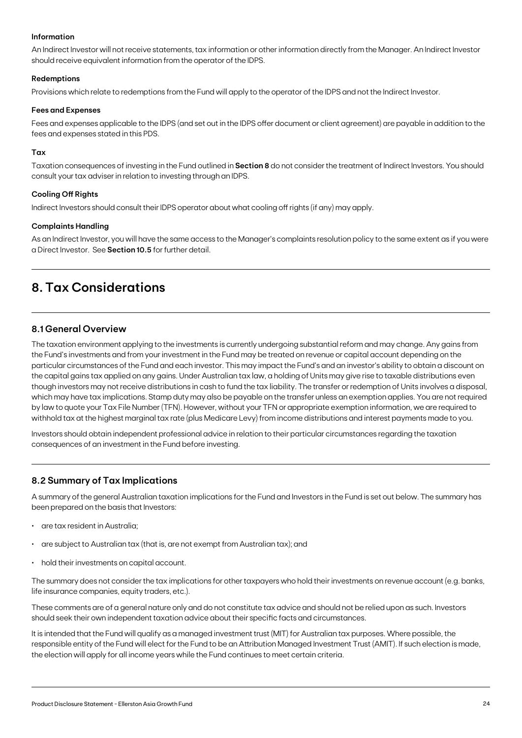### **Information**

An Indirect Investor will not receive statements, tax information or other information directly from the Manager. An Indirect Investor should receive equivalent information from the operator of the IDPS.

### **Redemptions**

Provisions which relate to redemptions from the Fund will apply to the operator of the IDPS and not the Indirect Investor.

#### **Fees and Expenses**

Fees and expenses applicable to the IDPS (and set out in the IDPS offer document or client agreement) are payable in addition to the fees and expenses stated in this PDS.

### **Tax**

Taxation consequences of investing in the Fund outlined in **Section 8** do not consider the treatment of Indirect Investors. You should consult your tax adviser in relation to investing through an IDPS.

### **Cooling Off Rights**

Indirect Investors should consult their IDPS operator about what cooling off rights (if any) may apply.

### **Complaints Handling**

As an Indirect Investor, you will have the same access to the Manager's complaints resolution policy to the same extent as if you were a Direct Investor. See **Section 10.5** for further detail.

## **8. Tax Considerations**

### **8.1 General Overview**

The taxation environment applying to the investments is currently undergoing substantial reform and may change. Any gains from the Fund's investments and from your investment in the Fund may be treated on revenue or capital account depending on the particular circumstances of the Fund and each investor. This may impact the Fund's and an investor's ability to obtain a discount on the capital gains tax applied on any gains. Under Australian tax law, a holding of Units may give rise to taxable distributions even though investors may not receive distributions in cash to fund the tax liability. The transfer or redemption of Units involves a disposal, which may have tax implications. Stamp duty may also be payable on the transfer unless an exemption applies. You are not required by law to quote your Tax File Number (TFN). However, without your TFN or appropriate exemption information, we are required to withhold tax at the highest marginal tax rate (plus Medicare Levy) from income distributions and interest payments made to you.

Investors should obtain independent professional advice in relation to their particular circumstances regarding the taxation consequences of an investment in the Fund before investing.

### **8.2 Summary of Tax Implications**

A summary of the general Australian taxation implications for the Fund and Investors in the Fund is set out below. The summary has been prepared on the basis that Investors:

- are tax resident in Australia;
- are subject to Australian tax (that is, are not exempt from Australian tax); and
- hold their investments on capital account.

The summary does not consider the tax implications for other taxpayers who hold their investments on revenue account (e.g. banks, life insurance companies, equity traders, etc.).

These comments are of a general nature only and do not constitute tax advice and should not be relied upon as such. Investors should seek their own independent taxation advice about their specific facts and circumstances.

It is intended that the Fund will qualify as a managed investment trust (MIT) for Australian tax purposes. Where possible, the responsible entity of the Fund will elect for the Fund to be an Attribution Managed Investment Trust (AMIT). If such election is made, the election will apply for all income years while the Fund continues to meet certain criteria.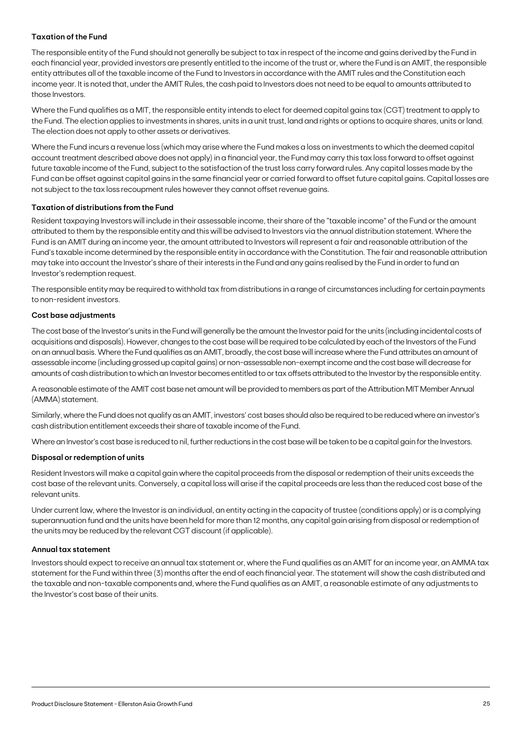### **Taxation of the Fund**

The responsible entity of the Fund should not generally be subject to tax in respect of the income and gains derived by the Fund in each financial year, provided investors are presently entitled to the income of the trust or, where the Fund is an AMIT, the responsible entity attributes all of the taxable income of the Fund to Investors in accordance with the AMIT rules and the Constitution each income year. It is noted that, under the AMIT Rules, the cash paid to Investors does not need to be equal to amounts attributed to those Investors.

Where the Fund qualifies as a MIT, the responsible entity intends to elect for deemed capital gains tax (CGT) treatment to apply to the Fund. The election applies to investments in shares, units in a unit trust, land and rights or options to acquire shares, units or land. The election does not apply to other assets or derivatives.

Where the Fund incurs a revenue loss (which may arise where the Fund makes a loss on investments to which the deemed capital account treatment described above does not apply) in a financial year, the Fund may carry this tax loss forward to offset against future taxable income of the Fund, subject to the satisfaction of the trust loss carry forward rules. Any capital losses made by the Fund can be offset against capital gains in the same financial year or carried forward to offset future capital gains. Capital losses are not subject to the tax loss recoupment rules however they cannot offset revenue gains.

### **Taxation of distributions from the Fund**

Resident taxpaying Investors will include in their assessable income, their share of the "taxable income" of the Fund or the amount attributed to them by the responsible entity and this will be advised to Investors via the annual distribution statement. Where the Fund is an AMIT during an income year, the amount attributed to Investors will represent a fair and reasonable attribution of the Fund's taxable income determined by the responsible entity in accordance with the Constitution. The fair and reasonable attribution may take into account the Investor's share of their interests in the Fund and any gains realised by the Fund in order to fund an Investor's redemption request.

The responsible entity may be required to withhold tax from distributions in a range of circumstances including for certain payments to non-resident investors.

### **Cost base adjustments**

The cost base of the Investor's units in the Fund will generally be the amount the Investor paid for the units (including incidental costs of acquisitions and disposals). However, changes to the cost base will be required to be calculated by each of the Investors of the Fund on an annual basis. Where the Fund qualifies as an AMIT, broadly, the cost base will increase where the Fund attributes an amount of assessable income (including grossed up capital gains) or non-assessable non-exempt income and the cost base will decrease for amounts of cash distribution to which an Investor becomes entitled to or tax offsets attributed to the Investor by the responsible entity.

A reasonable estimate of the AMIT cost base net amount will be provided to members as part of the Attribution MIT Member Annual (AMMA) statement.

Similarly, where the Fund does not qualify as an AMIT, investors' cost bases should also be required to be reduced where an investor's cash distribution entitlement exceeds their share of taxable income of the Fund.

Where an Investor's cost base is reduced to nil, further reductions in the cost base will be taken to be a capital gain for the Investors.

#### **Disposal or redemption of units**

Resident Investors will make a capital gain where the capital proceeds from the disposal or redemption of their units exceeds the cost base of the relevant units. Conversely, a capital loss will arise if the capital proceeds are less than the reduced cost base of the relevant units.

Under current law, where the Investor is an individual, an entity acting in the capacity of trustee (conditions apply) or is a complying superannuation fund and the units have been held for more than 12 months, any capital gain arising from disposal or redemption of the units may be reduced by the relevant CGT discount (if applicable).

#### **Annual tax statement**

Investors should expect to receive an annual tax statement or, where the Fund qualifies as an AMIT for an income year, an AMMA tax statement for the Fund within three (3) months after the end of each financial year. The statement will show the cash distributed and the taxable and non-taxable components and, where the Fund qualifies as an AMIT, a reasonable estimate of any adjustments to the Investor's cost base of their units.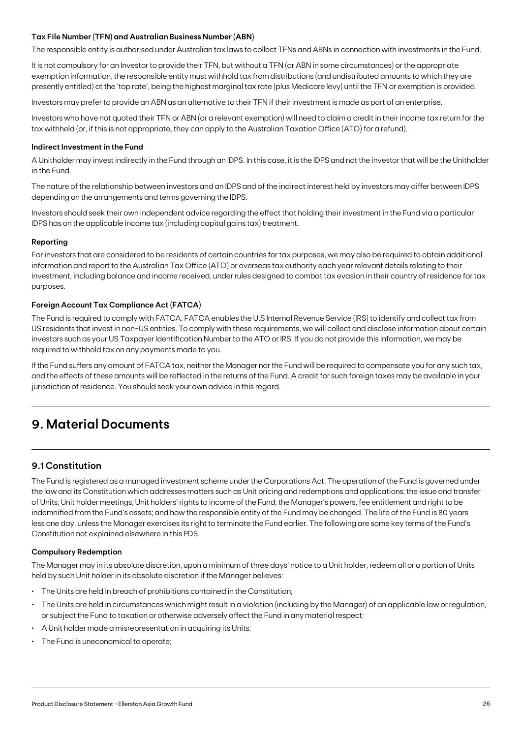### **Tax File Number (TFN) and Australian Business Number (ABN)**

The responsible entity is authorised under Australian tax laws to collect TFNs and ABNs in connection with investments in the Fund.

It is not compulsory for an Investor to provide their TFN, but without a TFN (or ABN in some circumstances) or the appropriate exemption information, the responsible entity must withhold tax from distributions (and undistributed amounts to which they are presently entitled) at the 'top rate', being the highest marginal tax rate (plus Medicare levy) until the TFN or exemption is provided.

Investors may prefer to provide an ABN as an alternative to their TFN if their investment is made as part of an enterprise.

Investors who have not quoted their TFN or ABN (or a relevant exemption) will need to claim a credit in their income tax return for the tax withheld (or, if this is not appropriate, they can apply to the Australian Taxation Office (ATO) for a refund).

#### **Indirect Investment in the Fund**

A Unitholder may invest indirectly in the Fund through an IDPS. In this case, it is the IDPS and not the investor that will be the Unitholder in the Fund.

The nature of the relationship between investors and an IDPS and of the indirect interest held by investors may differ between IDPS depending on the arrangements and terms governing the IDPS.

Investors should seek their own independent advice regarding the effect that holding their investment in the Fund via a particular IDPS has on the applicable income tax (including capital gains tax) treatment.

### **Reporting**

For investors that are considered to be residents of certain countries for tax purposes, we may also be required to obtain additional information and report to the Australian Tax Office (ATO) or overseas tax authority each year relevant details relating to their investment, including balance and income received, under rules designed to combat tax evasion in their country of residence for tax purposes.

### **Foreign Account Tax Compliance Act (FATCA)**

The Fund is required to comply with FATCA. FATCA enables the U.S Internal Revenue Service (IRS) to identify and collect tax from US residents that invest in non-US entities. To comply with these requirements, we will collect and disclose information about certain investors such as your US Taxpayer Identification Number to the ATO or IRS. If you do not provide this information, we may be required to withhold tax on any payments made to you.

If the Fund suffers any amount of FATCA tax, neither the Manager nor the Fund will be required to compensate you for any such tax, and the effects of these amounts will be reflected in the returns of the Fund. A credit for such foreign taxes may be available in your jurisdiction of residence. You should seek your own advice in this regard.

## **9. Material Documents**

### **9.1 Constitution**

The Fund is registered as a managed investment scheme under the Corporations Act. The operation of the Fund is governed under the law and its Constitution which addresses matters such as Unit pricing and redemptions and applications; the issue and transfer of Units; Unit holder meetings; Unit holders' rights to income of the Fund; the Manager's powers, fee entitlement and right to be indemnified from the Fund's assets; and how the responsible entity of the Fund may be changed. The life of the Fund is 80 years less one day, unless the Manager exercises its right to terminate the Fund earlier. The following are some key terms of the Fund's Constitution not explained elsewhere in this PDS.

#### **Compulsory Redemption**

The Manager may in its absolute discretion, upon a minimum of three days' notice to a Unit holder, redeem all or a portion of Units held by such Unit holder in its absolute discretion if the Manager believes:

- The Units are held in breach of prohibitions contained in the Constitution;
- The Units are held in circumstances which might result in a violation (including by the Manager) of an applicable law or regulation, or subject the Fund to taxation or otherwise adversely affect the Fund in any material respect;
- A Unit holder made a misrepresentation in acquiring its Units;
- The Fund is uneconomical to operate;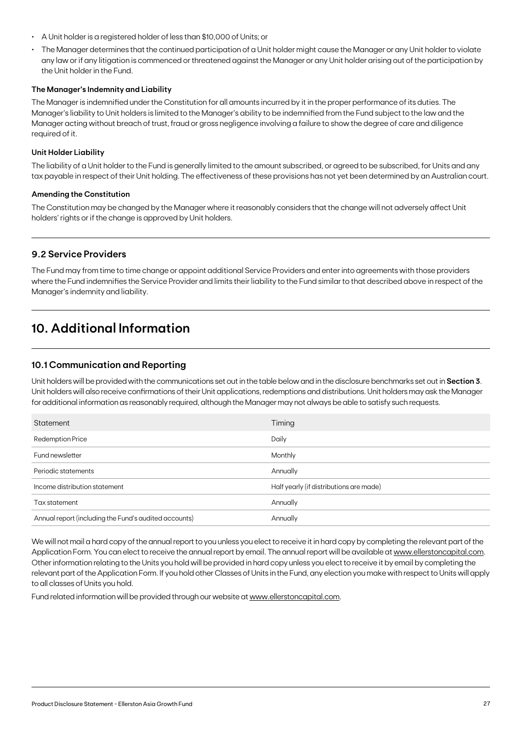- A Unit holder is a registered holder of less than \$10,000 of Units; or
- The Manager determines that the continued participation of a Unit holder might cause the Manager or any Unit holder to violate any law or if any litigation is commenced or threatened against the Manager or any Unit holder arising out of the participation by the Unit holder in the Fund.

### **The Manager's Indemnity and Liability**

The Manager is indemnified under the Constitution for all amounts incurred by it in the proper performance of its duties. The Manager's liability to Unit holders is limited to the Manager's ability to be indemnified from the Fund subject to the law and the Manager acting without breach of trust, fraud or gross negligence involving a failure to show the degree of care and diligence required of it.

#### **Unit Holder Liability**

The liability of a Unit holder to the Fund is generally limited to the amount subscribed, or agreed to be subscribed, for Units and any tax payable in respect of their Unit holding. The effectiveness of these provisions has not yet been determined by an Australian court.

#### **Amending the Constitution**

The Constitution may be changed by the Manager where it reasonably considers that the change will not adversely affect Unit holders' rights or if the change is approved by Unit holders.

### **9.2 Service Providers**

The Fund may from time to time change or appoint additional Service Providers and enter into agreements with those providers where the Fund indemnifies the Service Provider and limits their liability to the Fund similar to that described above in respect of the Manager's indemnity and liability.

## **10. Additional Information**

### **10.1 Communication and Reporting**

Unit holders will be provided with the communications set out in the table below and in the disclosure benchmarks set out in **Section 3**. Unit holders will also receive confirmations of their Unit applications, redemptions and distributions. Unit holders may ask the Manager for additional information as reasonably required, although the Manager may not always be able to satisfy such requests.

| Statement                                             | Timing                                  |
|-------------------------------------------------------|-----------------------------------------|
| <b>Redemption Price</b>                               | Daily                                   |
| Fund newsletter                                       | Monthly                                 |
| Periodic statements                                   | Annually                                |
| Income distribution statement                         | Half yearly (if distributions are made) |
| Tax statement                                         | Annually                                |
| Annual report (including the Fund's audited accounts) | Annually                                |

We will not mail a hard copy of the annual report to you unless you elect to receive it in hard copy by completing the relevant part of the Application Form. You can elect to receive the annual report by email. The annual report will be available at [www.ellerstoncapital.com.](http://www.ellerstoncapital.com) Other information relating to the Units you hold will be provided in hard copy unless you elect to receive it by email by completing the relevant part of the Application Form. If you hold other Classes of Units in the Fund, any election you make with respect to Units will apply to all classes of Units you hold.

Fund related information will be provided through our website at [www.ellerstoncapital.com](http://www.ellerstoncapital.com).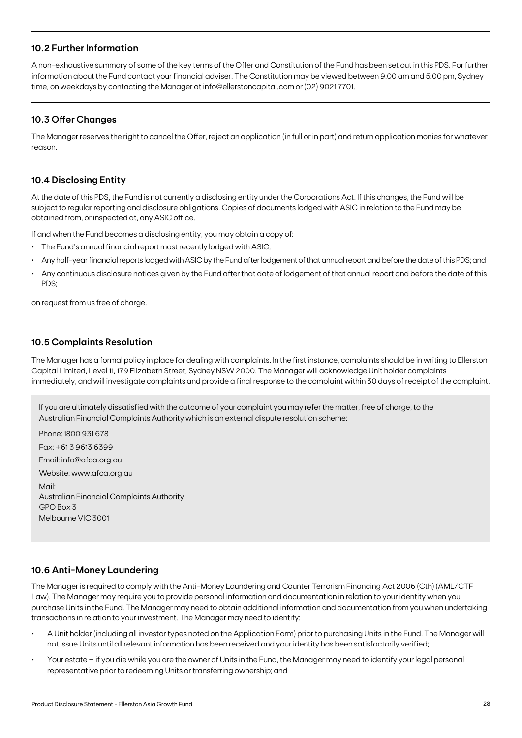### **10.2 Further Information**

A non-exhaustive summary of some of the key terms of the Offer and Constitution of the Fund has been set out in this PDS. For further information about the Fund contact your financial adviser. The Constitution may be viewed between 9:00 am and 5:00 pm, Sydney time, on weekdays by contacting the Manager at info@ellerstoncapital.com or (02) 9021 7701.

### **10.3 Offer Changes**

The Manager reserves the right to cancel the Offer, reject an application (in full or in part) and return application monies for whatever reason.

### **10.4 Disclosing Entity**

At the date of this PDS, the Fund is not currently a disclosing entity under the Corporations Act. If this changes, the Fund will be subject to regular reporting and disclosure obligations. Copies of documents lodged with ASIC in relation to the Fund may be obtained from, or inspected at, any ASIC office.

If and when the Fund becomes a disclosing entity, you may obtain a copy of:

- The Fund's annual financial report most recently lodged with ASIC;
- Any half-year financial reports lodged with ASIC by the Fund after lodgement of that annual report and before the date of this PDS; and
- Any continuous disclosure notices given by the Fund after that date of lodgement of that annual report and before the date of this PDS;

on request from us free of charge.

### **10.5 Complaints Resolution**

The Manager has a formal policy in place for dealing with complaints. In the first instance, complaints should be in writing to Ellerston Capital Limited, Level 11, 179 Elizabeth Street, Sydney NSW 2000. The Manager will acknowledge Unit holder complaints immediately, and will investigate complaints and provide a final response to the complaint within 30 days of receipt of the complaint.

If you are ultimately dissatisfied with the outcome of your complaint you may refer the matter, free of charge, to the Australian Financial Complaints Authority which is an external dispute resolution scheme:

Phone: 1800 931 678 Fax: +61 3 9613 6399 Email: info@afca.org.au Website: www.afca.org.au Mail: Australian Financial Complaints Authority  $GPO$  Box 3 Melbourne VIC 3001

### **10.6 Anti-Money Laundering**

The Manager is required to comply with the Anti-Money Laundering and Counter Terrorism Financing Act 2006 (Cth) (AML/CTF Law). The Manager may require you to provide personal information and documentation in relation to your identity when you purchase Units in the Fund. The Manager may need to obtain additional information and documentation from you when undertaking transactions in relation to your investment. The Manager may need to identify:

- A Unit holder (including all investor types noted on the Application Form) prior to purchasing Units in the Fund. The Manager will not issue Units until all relevant information has been received and your identity has been satisfactorily verified;
- Your estate if you die while you are the owner of Units in the Fund, the Manager may need to identify your legal personal representative prior to redeeming Units or transferring ownership; and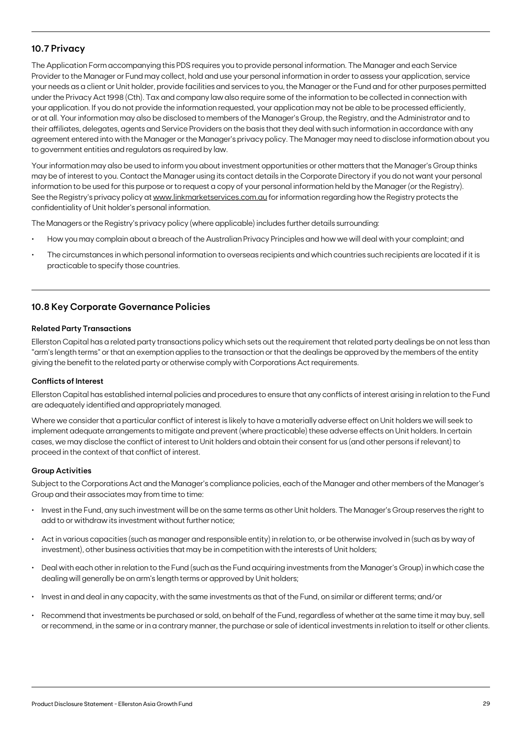### **10.7 Privacy**

The Application Form accompanying this PDS requires you to provide personal information. The Manager and each Service Provider to the Manager or Fund may collect, hold and use your personal information in order to assess your application, service your needs as a client or Unit holder, provide facilities and services to you, the Manager or the Fund and for other purposes permitted under the Privacy Act 1998 (Cth). Tax and company law also require some of the information to be collected in connection with your application. If you do not provide the information requested, your application may not be able to be processed efficiently, or at all. Your information may also be disclosed to members of the Manager's Group, the Registry, and the Administrator and to their affiliates, delegates, agents and Service Providers on the basis that they deal with such information in accordance with any agreement entered into with the Manager or the Manager's privacy policy. The Manager may need to disclose information about you to government entities and regulators as required by law.

Your information may also be used to inform you about investment opportunities or other matters that the Manager's Group thinks may be of interest to you. Contact the Manager using its contact details in the Corporate Directory if you do not want your personal information to be used for this purpose or to request a copy of your personal information held by the Manager (or the Registry). See the Registry's privacy policy at [www.linkmarketservices.com.au](http://www.linkmarketservices.com.au) for information regarding how the Registry protects the confidentiality of Unit holder's personal information.

The Managers or the Registry's privacy policy (where applicable) includes further details surrounding:

- How you may complain about a breach of the Australian Privacy Principles and how we will deal with your complaint; and
- The circumstances in which personal information to overseas recipients and which countries such recipients are located if it is practicable to specify those countries.

### **10.8 Key Corporate Governance Policies**

### **Related Party Transactions**

Ellerston Capital has a related party transactions policy which sets out the requirement that related party dealings be on not less than "arm's length terms" or that an exemption applies to the transaction or that the dealings be approved by the members of the entity giving the benefit to the related party or otherwise comply with Corporations Act requirements.

### **Conflicts of Interest**

Ellerston Capital has established internal policies and procedures to ensure that any conflicts of interest arising in relation to the Fund are adequately identified and appropriately managed.

Where we consider that a particular conflict of interest is likely to have a materially adverse effect on Unit holders we will seek to implement adequate arrangements to mitigate and prevent (where practicable) these adverse effects on Unit holders. In certain cases, we may disclose the conflict of interest to Unit holders and obtain their consent for us (and other persons if relevant) to proceed in the context of that conflict of interest.

#### **Group Activities**

Subject to the Corporations Act and the Manager's compliance policies, each of the Manager and other members of the Manager's Group and their associates may from time to time:

- Invest in the Fund, any such investment will be on the same terms as other Unit holders. The Manager's Group reserves the right to add to or withdraw its investment without further notice;
- Act in various capacities (such as manager and responsible entity) in relation to, or be otherwise involved in (such as by way of investment), other business activities that may be in competition with the interests of Unit holders;
- Deal with each other in relation to the Fund (such as the Fund acquiring investments from the Manager's Group) in which case the dealing will generally be on arm's length terms or approved by Unit holders;
- Invest in and deal in any capacity, with the same investments as that of the Fund, on similar or different terms; and/or
- Recommend that investments be purchased or sold, on behalf of the Fund, regardless of whether at the same time it may buy, sell or recommend, in the same or in a contrary manner, the purchase or sale of identical investments in relation to itself or other clients.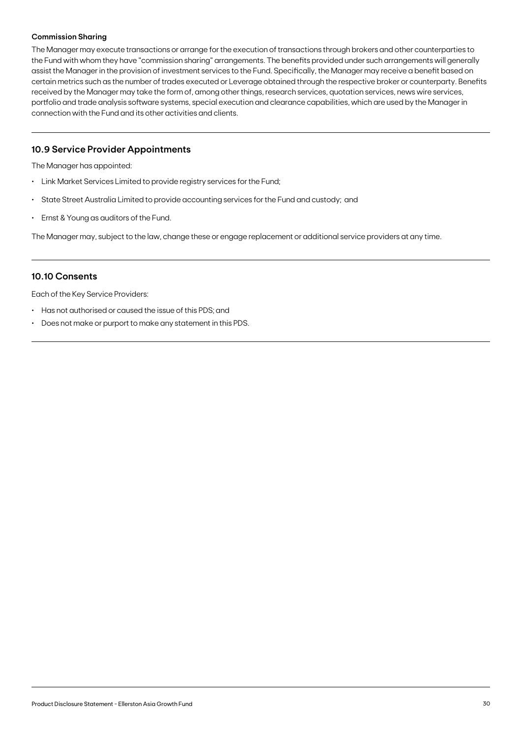### **Commission Sharing**

The Manager may execute transactions or arrange for the execution of transactions through brokers and other counterparties to the Fund with whom they have "commission sharing" arrangements. The benefits provided under such arrangements will generally assist the Manager in the provision of investment services to the Fund. Specifically, the Manager may receive a benefit based on certain metrics such as the number of trades executed or Leverage obtained through the respective broker or counterparty. Benefits received by the Manager may take the form of, among other things, research services, quotation services, news wire services, portfolio and trade analysis software systems, special execution and clearance capabilities, which are used by the Manager in connection with the Fund and its other activities and clients.

### **10.9 Service Provider Appointments**

The Manager has appointed:

- Link Market Services Limited to provide registry services for the Fund;
- State Street Australia Limited to provide accounting services for the Fund and custody; and
- Ernst & Young as auditors of the Fund.

The Manager may, subject to the law, change these or engage replacement or additional service providers at any time.

### **10.10 Consents**

Each of the Key Service Providers:

- Has not authorised or caused the issue of this PDS; and
- Does not make or purport to make any statement in this PDS.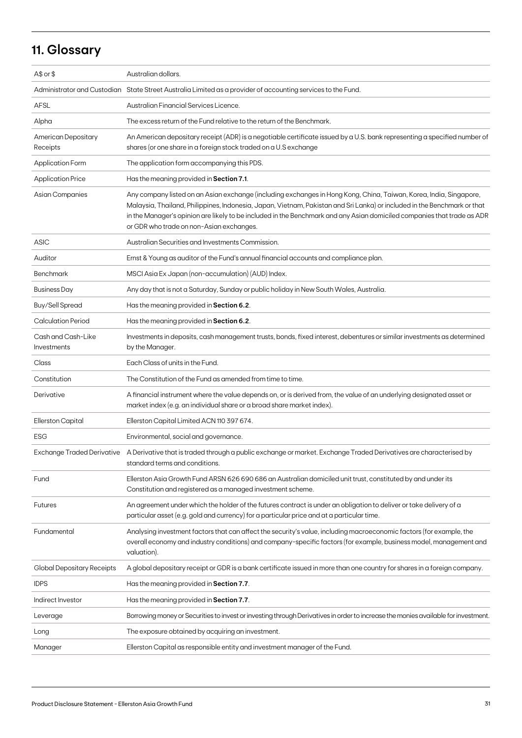## **11. Glossary**

| $A$$ or $$$                       | Australian dollars.                                                                                                                                                                                                                                                                                                                                                                                                   |
|-----------------------------------|-----------------------------------------------------------------------------------------------------------------------------------------------------------------------------------------------------------------------------------------------------------------------------------------------------------------------------------------------------------------------------------------------------------------------|
|                                   | Administrator and Custodian State Street Australia Limited as a provider of accounting services to the Fund.                                                                                                                                                                                                                                                                                                          |
| <b>AFSL</b>                       | Australian Financial Services Licence.                                                                                                                                                                                                                                                                                                                                                                                |
| Alpha                             | The excess return of the Fund relative to the return of the Benchmark.                                                                                                                                                                                                                                                                                                                                                |
| American Depositary<br>Receipts   | An American depositary receipt (ADR) is a negotiable certificate issued by a U.S. bank representing a specified number of<br>shares (or one share in a foreign stock traded on a U.S exchange                                                                                                                                                                                                                         |
| <b>Application Form</b>           | The application form accompanying this PDS.                                                                                                                                                                                                                                                                                                                                                                           |
| <b>Application Price</b>          | Has the meaning provided in Section 7.1.                                                                                                                                                                                                                                                                                                                                                                              |
| Asian Companies                   | Any company listed on an Asian exchange (including exchanges in Hong Kong, China, Taiwan, Korea, India, Singapore,<br>Malaysia, Thailand, Philippines, Indonesia, Japan, Vietnam, Pakistan and Sri Lanka) or included in the Benchmark or that<br>in the Manager's opinion are likely to be included in the Benchmark and any Asian domiciled companies that trade as ADR<br>or GDR who trade on non-Asian exchanges. |
| <b>ASIC</b>                       | Australian Securities and Investments Commission.                                                                                                                                                                                                                                                                                                                                                                     |
| Auditor                           | Ernst & Young as auditor of the Fund's annual financial accounts and compliance plan.                                                                                                                                                                                                                                                                                                                                 |
| <b>Benchmark</b>                  | MSCI Asia Ex Japan (non-accumulation) (AUD) Index.                                                                                                                                                                                                                                                                                                                                                                    |
| <b>Business Day</b>               | Any day that is not a Saturday, Sunday or public holiday in New South Wales, Australia.                                                                                                                                                                                                                                                                                                                               |
| <b>Buy/Sell Spread</b>            | Has the meaning provided in Section 6.2.                                                                                                                                                                                                                                                                                                                                                                              |
| <b>Calculation Period</b>         | Has the meaning provided in Section 6.2.                                                                                                                                                                                                                                                                                                                                                                              |
| Cash and Cash-Like<br>Investments | Investments in deposits, cash management trusts, bonds, fixed interest, debentures or similar investments as determined<br>by the Manager.                                                                                                                                                                                                                                                                            |
| Class                             | Each Class of units in the Fund.                                                                                                                                                                                                                                                                                                                                                                                      |
| Constitution                      | The Constitution of the Fund as amended from time to time.                                                                                                                                                                                                                                                                                                                                                            |
| Derivative                        | A financial instrument where the value depends on, or is derived from, the value of an underlying designated asset or<br>market index (e.g. an individual share or a broad share market index).                                                                                                                                                                                                                       |
| Ellerston Capital                 | Ellerston Capital Limited ACN 110 397 674.                                                                                                                                                                                                                                                                                                                                                                            |
| <b>ESG</b>                        | Environmental, social and governance.                                                                                                                                                                                                                                                                                                                                                                                 |
|                                   | Exchange Traded Derivative A Derivative that is traded through a public exchange or market. Exchange Traded Derivatives are characterised by<br>standard terms and conditions.                                                                                                                                                                                                                                        |
| Fund                              | Ellerston Asia Growth Fund ARSN 626 690 686 an Australian domiciled unit trust, constituted by and under its<br>Constitution and registered as a managed investment scheme.                                                                                                                                                                                                                                           |
| <b>Futures</b>                    | An agreement under which the holder of the futures contract is under an obligation to deliver or take delivery of a<br>particular asset (e.g. gold and currency) for a particular price and at a particular time.                                                                                                                                                                                                     |
| Fundamental                       | Analysing investment factors that can affect the security's value, including macroeconomic factors (for example, the<br>overall economy and industry conditions) and company-specific factors (for example, business model, management and<br>valuation).                                                                                                                                                             |
| Global Depositary Receipts        | A global depositary receipt or GDR is a bank certificate issued in more than one country for shares in a foreign company.                                                                                                                                                                                                                                                                                             |
| <b>IDPS</b>                       | Has the meaning provided in Section 7.7.                                                                                                                                                                                                                                                                                                                                                                              |
| Indirect Investor                 | Has the meaning provided in Section 7.7.                                                                                                                                                                                                                                                                                                                                                                              |
| Leverage                          | Borrowing money or Securities to invest or investing through Derivatives in order to increase the monies available for investment.                                                                                                                                                                                                                                                                                    |
| Long                              | The exposure obtained by acquiring an investment.                                                                                                                                                                                                                                                                                                                                                                     |
| Manager                           | Ellerston Capital as responsible entity and investment manager of the Fund.                                                                                                                                                                                                                                                                                                                                           |